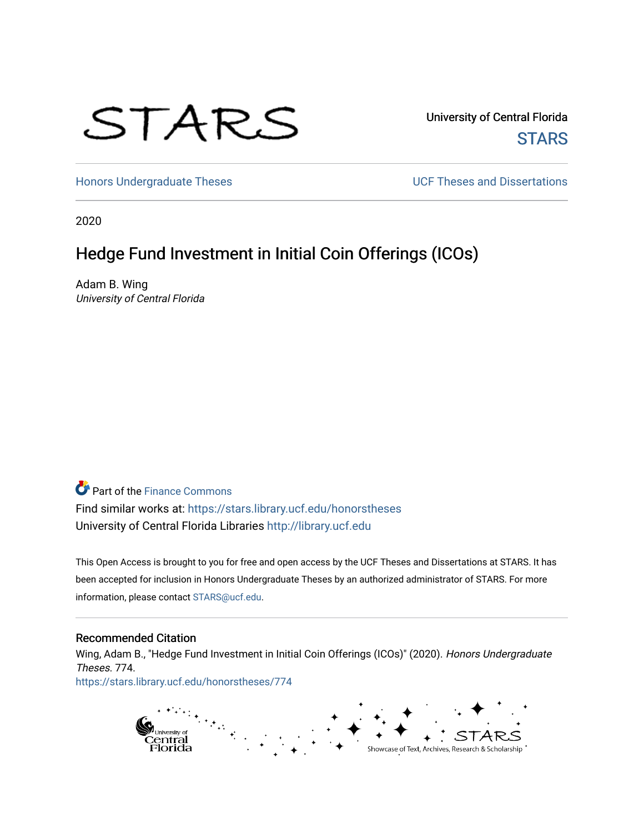# STARS

University of Central Florida **STARS** 

[Honors Undergraduate Theses](https://stars.library.ucf.edu/honorstheses) **Exercise 2 and Serverse** UCF Theses and Dissertations

2020

# Hedge Fund Investment in Initial Coin Offerings (ICOs)

Adam B. Wing University of Central Florida

**P** Part of the Finance Commons

Find similar works at: <https://stars.library.ucf.edu/honorstheses> University of Central Florida Libraries [http://library.ucf.edu](http://library.ucf.edu/) 

This Open Access is brought to you for free and open access by the UCF Theses and Dissertations at STARS. It has been accepted for inclusion in Honors Undergraduate Theses by an authorized administrator of STARS. For more information, please contact [STARS@ucf.edu.](mailto:STARS@ucf.edu)

#### Recommended Citation

Wing, Adam B., "Hedge Fund Investment in Initial Coin Offerings (ICOs)" (2020). Honors Undergraduate Theses. 774. [https://stars.library.ucf.edu/honorstheses/774](https://stars.library.ucf.edu/honorstheses/774?utm_source=stars.library.ucf.edu%2Fhonorstheses%2F774&utm_medium=PDF&utm_campaign=PDFCoverPages) 

> pi<sub>University of</sub><br>Central<br>Florida Showcase of Text, Archives, Research & Scholarship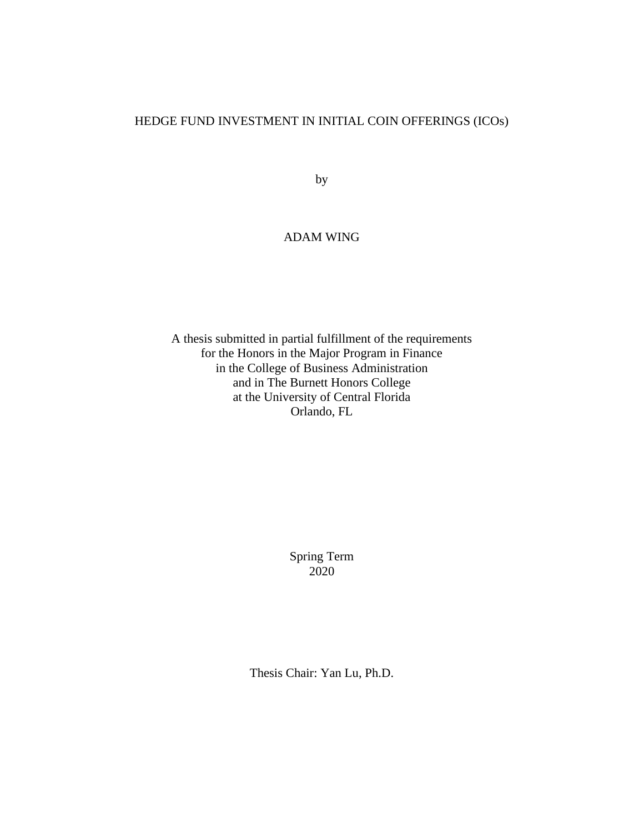#### HEDGE FUND INVESTMENT IN INITIAL COIN OFFERINGS (ICOs)

by

#### ADAM WING

A thesis submitted in partial fulfillment of the requirements for the Honors in the Major Program in Finance in the College of Business Administration and in The Burnett Honors College at the University of Central Florida Orlando, FL

> Spring Term 2020

Thesis Chair: Yan Lu, Ph.D.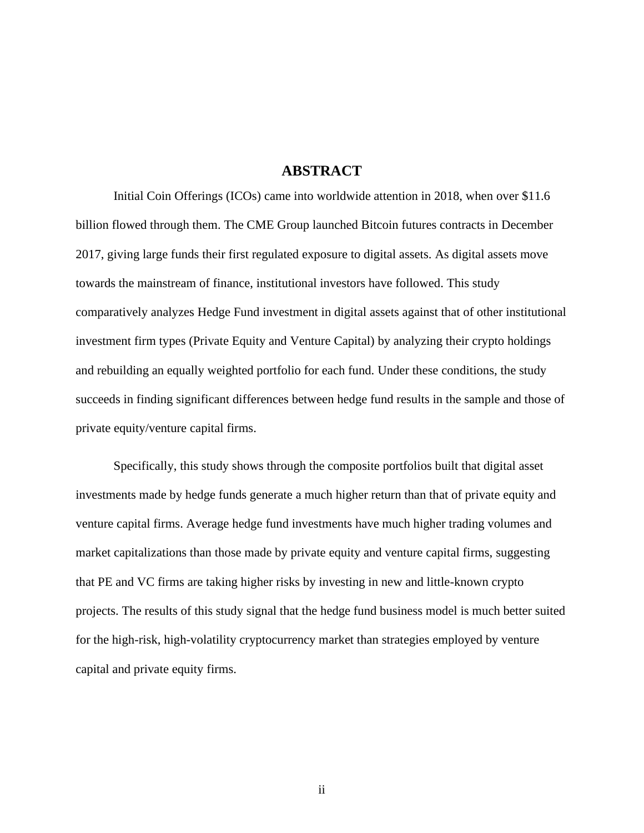#### **ABSTRACT**

Initial Coin Offerings (ICOs) came into worldwide attention in 2018, when over \$11.6 billion flowed through them. The CME Group launched Bitcoin futures contracts in December 2017, giving large funds their first regulated exposure to digital assets. As digital assets move towards the mainstream of finance, institutional investors have followed. This study comparatively analyzes Hedge Fund investment in digital assets against that of other institutional investment firm types (Private Equity and Venture Capital) by analyzing their crypto holdings and rebuilding an equally weighted portfolio for each fund. Under these conditions, the study succeeds in finding significant differences between hedge fund results in the sample and those of private equity/venture capital firms.

Specifically, this study shows through the composite portfolios built that digital asset investments made by hedge funds generate a much higher return than that of private equity and venture capital firms. Average hedge fund investments have much higher trading volumes and market capitalizations than those made by private equity and venture capital firms, suggesting that PE and VC firms are taking higher risks by investing in new and little-known crypto projects. The results of this study signal that the hedge fund business model is much better suited for the high-risk, high-volatility cryptocurrency market than strategies employed by venture capital and private equity firms.

ii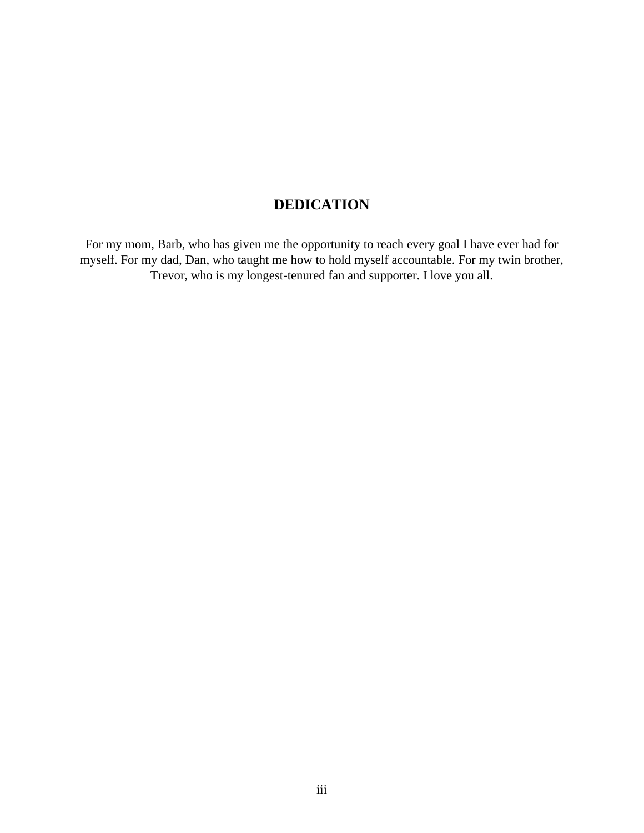# **DEDICATION**

For my mom, Barb, who has given me the opportunity to reach every goal I have ever had for myself. For my dad, Dan, who taught me how to hold myself accountable. For my twin brother, Trevor, who is my longest-tenured fan and supporter. I love you all.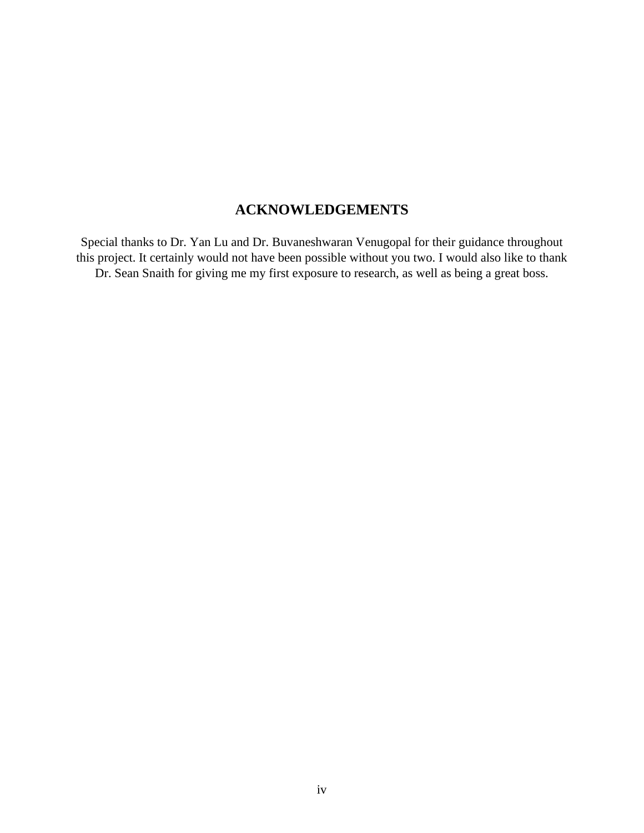### **ACKNOWLEDGEMENTS**

Special thanks to Dr. Yan Lu and Dr. Buvaneshwaran Venugopal for their guidance throughout this project. It certainly would not have been possible without you two. I would also like to thank Dr. Sean Snaith for giving me my first exposure to research, as well as being a great boss.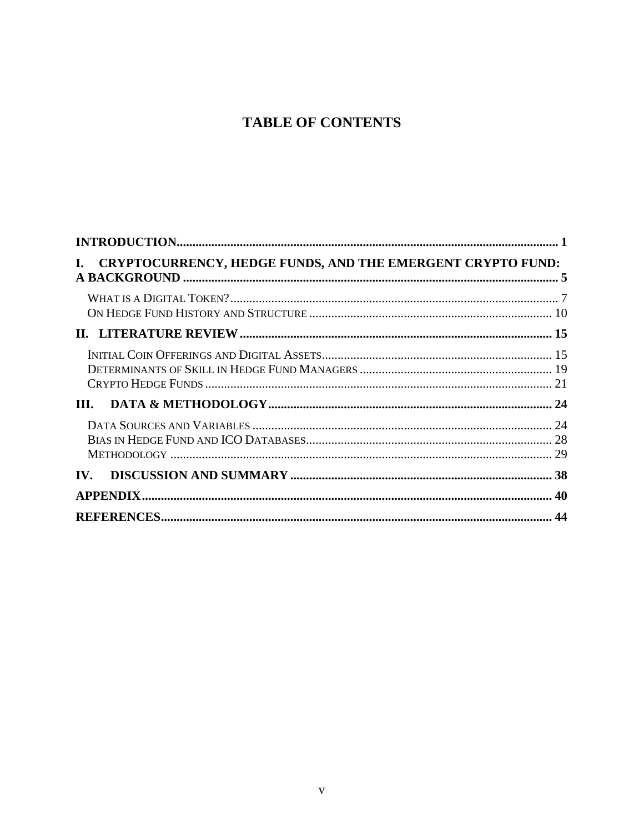# **TABLE OF CONTENTS**

| I. CRYPTOCURRENCY, HEDGE FUNDS, AND THE EMERGENT CRYPTO FUND: |  |
|---------------------------------------------------------------|--|
|                                                               |  |
|                                                               |  |
|                                                               |  |
|                                                               |  |
|                                                               |  |
| IV.                                                           |  |
|                                                               |  |
|                                                               |  |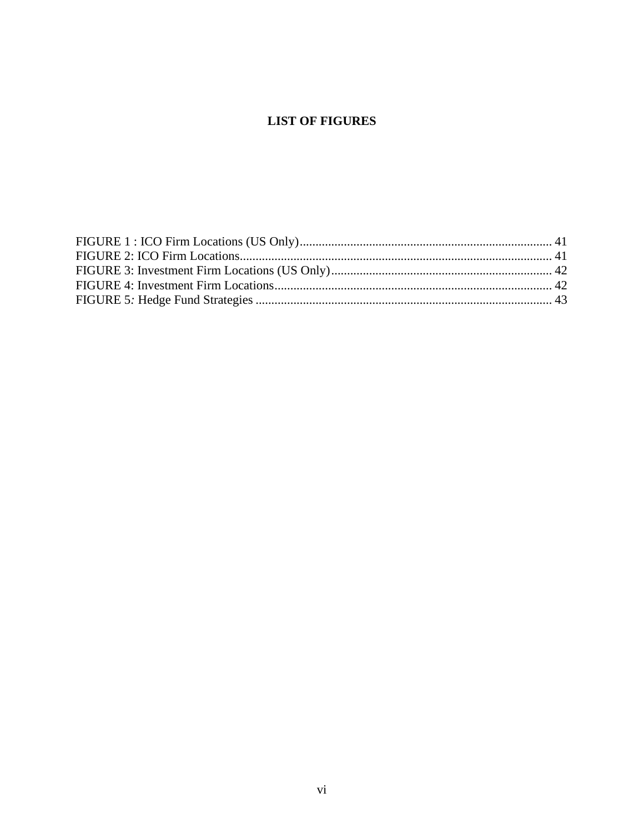#### **LIST OF FIGURES**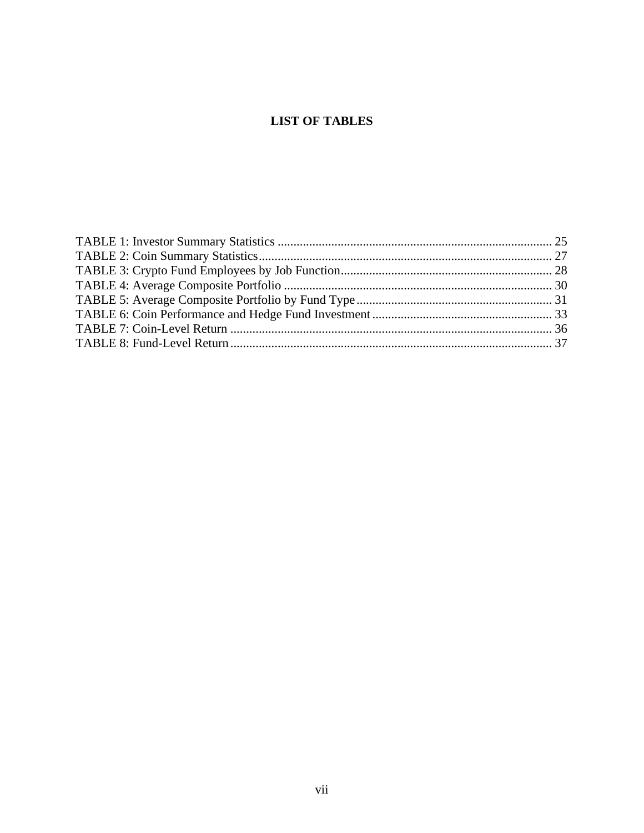#### **LIST OF TABLES**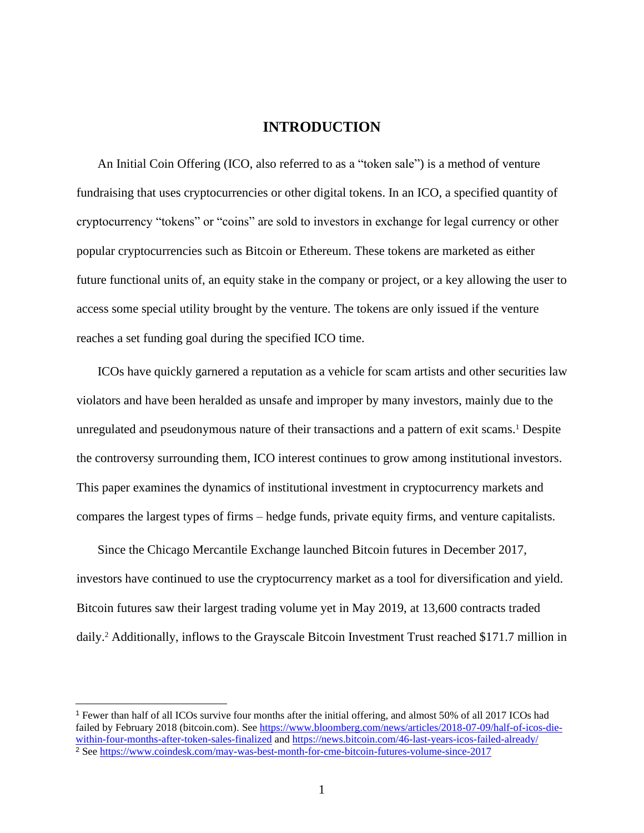#### **INTRODUCTION**

<span id="page-8-0"></span>An Initial Coin Offering (ICO, also referred to as a "token sale") is a method of venture fundraising that uses cryptocurrencies or other digital tokens. In an ICO, a specified quantity of cryptocurrency "tokens" or "coins" are sold to investors in exchange for legal currency or other popular cryptocurrencies such as Bitcoin or Ethereum. These tokens are marketed as either future functional units of, an equity stake in the company or project, or a key allowing the user to access some special utility brought by the venture. The tokens are only issued if the venture reaches a set funding goal during the specified ICO time.

ICOs have quickly garnered a reputation as a vehicle for scam artists and other securities law violators and have been heralded as unsafe and improper by many investors, mainly due to the unregulated and pseudonymous nature of their transactions and a pattern of exit scams. <sup>1</sup> Despite the controversy surrounding them, ICO interest continues to grow among institutional investors. This paper examines the dynamics of institutional investment in cryptocurrency markets and compares the largest types of firms – hedge funds, private equity firms, and venture capitalists.

Since the Chicago Mercantile Exchange launched Bitcoin futures in December 2017, investors have continued to use the cryptocurrency market as a tool for diversification and yield. Bitcoin futures saw their largest trading volume yet in May 2019, at 13,600 contracts traded daily. <sup>2</sup> Additionally, inflows to the Grayscale Bitcoin Investment Trust reached \$171.7 million in

<sup>1</sup> Fewer than half of all ICOs survive four months after the initial offering, and almost 50% of all 2017 ICOs had failed by February 2018 (bitcoin.com). See [https://www.bloomberg.com/news/articles/2018-07-09/half-of-icos-die](https://www.bloomberg.com/news/articles/2018-07-09/half-of-icos-die-within-four-months-after-token-sales-finalized)[within-four-months-after-token-sales-finalized](https://www.bloomberg.com/news/articles/2018-07-09/half-of-icos-die-within-four-months-after-token-sales-finalized) and<https://news.bitcoin.com/46-last-years-icos-failed-already/> <sup>2</sup> See<https://www.coindesk.com/may-was-best-month-for-cme-bitcoin-futures-volume-since-2017>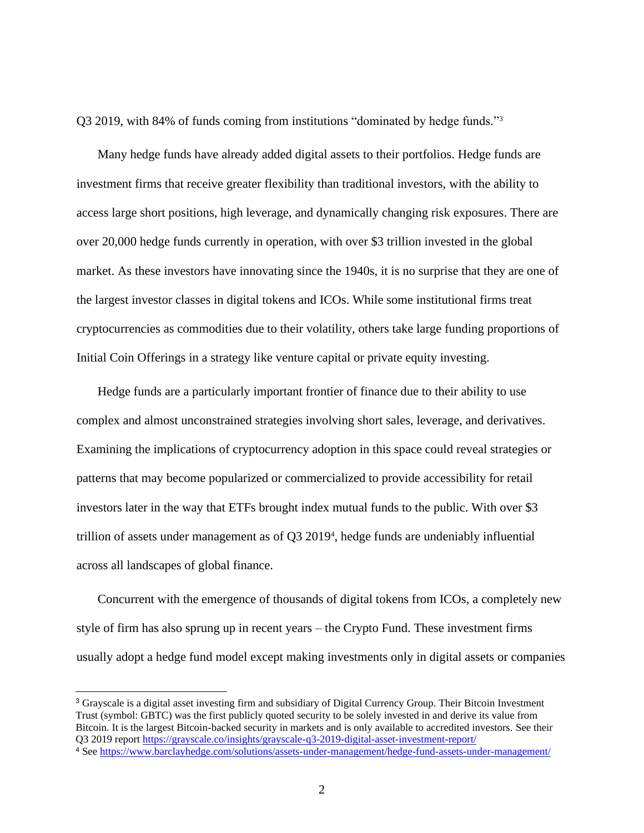Q3 2019, with 84% of funds coming from institutions "dominated by hedge funds." 3

Many hedge funds have already added digital assets to their portfolios. Hedge funds are investment firms that receive greater flexibility than traditional investors, with the ability to access large short positions, high leverage, and dynamically changing risk exposures. There are over 20,000 hedge funds currently in operation, with over \$3 trillion invested in the global market. As these investors have innovating since the 1940s, it is no surprise that they are one of the largest investor classes in digital tokens and ICOs. While some institutional firms treat cryptocurrencies as commodities due to their volatility, others take large funding proportions of Initial Coin Offerings in a strategy like venture capital or private equity investing.

Hedge funds are a particularly important frontier of finance due to their ability to use complex and almost unconstrained strategies involving short sales, leverage, and derivatives. Examining the implications of cryptocurrency adoption in this space could reveal strategies or patterns that may become popularized or commercialized to provide accessibility for retail investors later in the way that ETFs brought index mutual funds to the public. With over \$3 trillion of assets under management as of Q3 2019<sup>4</sup>, hedge funds are undeniably influential across all landscapes of global finance.

Concurrent with the emergence of thousands of digital tokens from ICOs, a completely new style of firm has also sprung up in recent years – the Crypto Fund. These investment firms usually adopt a hedge fund model except making investments only in digital assets or companies

<sup>3</sup> Grayscale is a digital asset investing firm and subsidiary of Digital Currency Group. Their Bitcoin Investment Trust (symbol: GBTC) was the first publicly quoted security to be solely invested in and derive its value from Bitcoin. It is the largest Bitcoin-backed security in markets and is only available to accredited investors. See their Q3 2019 repor[t https://grayscale.co/insights/grayscale-q3-2019-digital-asset-investment-report/](https://grayscale.co/insights/grayscale-q3-2019-digital-asset-investment-report/)

<sup>4</sup> See<https://www.barclayhedge.com/solutions/assets-under-management/hedge-fund-assets-under-management/>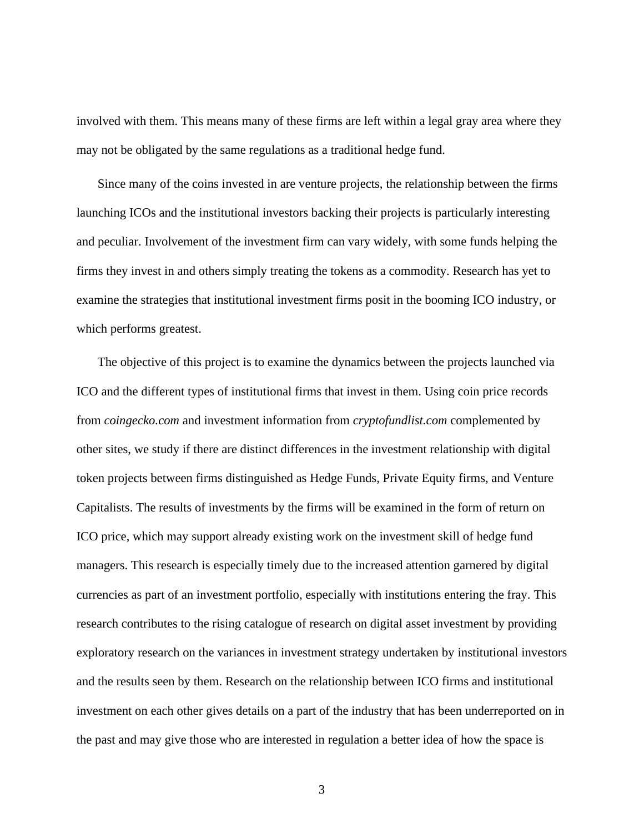involved with them. This means many of these firms are left within a legal gray area where they may not be obligated by the same regulations as a traditional hedge fund.

Since many of the coins invested in are venture projects, the relationship between the firms launching ICOs and the institutional investors backing their projects is particularly interesting and peculiar. Involvement of the investment firm can vary widely, with some funds helping the firms they invest in and others simply treating the tokens as a commodity. Research has yet to examine the strategies that institutional investment firms posit in the booming ICO industry, or which performs greatest.

The objective of this project is to examine the dynamics between the projects launched via ICO and the different types of institutional firms that invest in them. Using coin price records from *coingecko.com* and investment information from *cryptofundlist.com* complemented by other sites, we study if there are distinct differences in the investment relationship with digital token projects between firms distinguished as Hedge Funds, Private Equity firms, and Venture Capitalists. The results of investments by the firms will be examined in the form of return on ICO price, which may support already existing work on the investment skill of hedge fund managers. This research is especially timely due to the increased attention garnered by digital currencies as part of an investment portfolio, especially with institutions entering the fray. This research contributes to the rising catalogue of research on digital asset investment by providing exploratory research on the variances in investment strategy undertaken by institutional investors and the results seen by them. Research on the relationship between ICO firms and institutional investment on each other gives details on a part of the industry that has been underreported on in the past and may give those who are interested in regulation a better idea of how the space is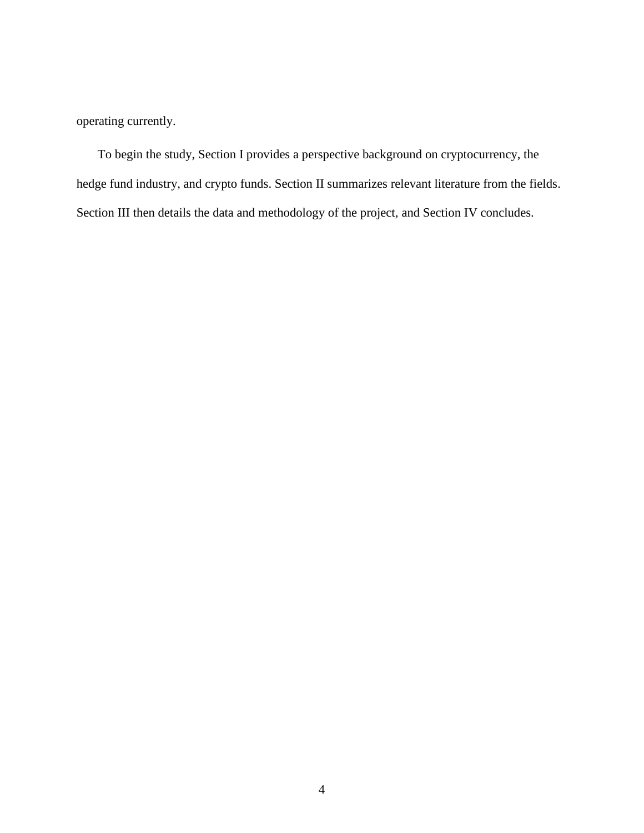operating currently.

To begin the study, Section I provides a perspective background on cryptocurrency, the hedge fund industry, and crypto funds. Section II summarizes relevant literature from the fields. Section III then details the data and methodology of the project, and Section IV concludes.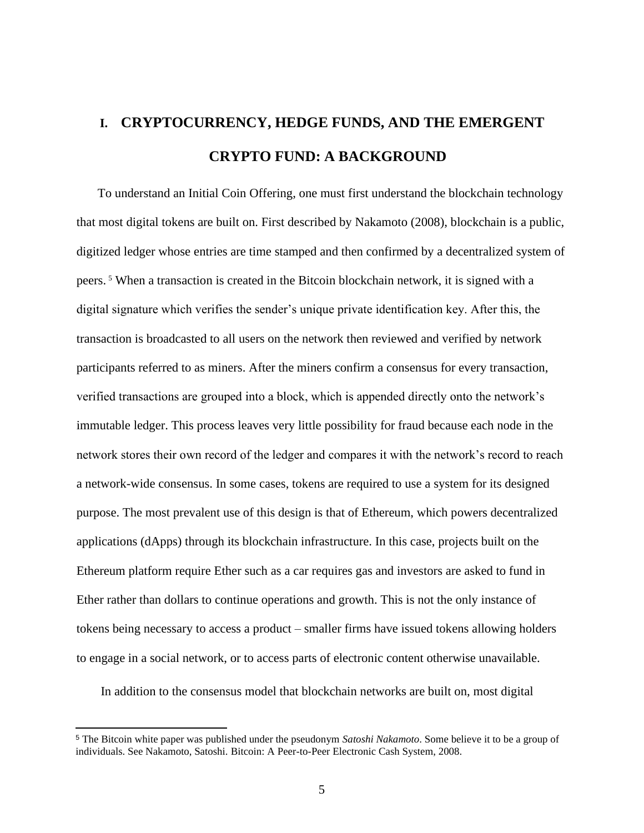# <span id="page-12-0"></span>**I. CRYPTOCURRENCY, HEDGE FUNDS, AND THE EMERGENT CRYPTO FUND: A BACKGROUND**

To understand an Initial Coin Offering, one must first understand the blockchain technology that most digital tokens are built on. First described by Nakamoto (2008), blockchain is a public, digitized ledger whose entries are time stamped and then confirmed by a decentralized system of peers. <sup>5</sup> When a transaction is created in the Bitcoin blockchain network, it is signed with a digital signature which verifies the sender's unique private identification key. After this, the transaction is broadcasted to all users on the network then reviewed and verified by network participants referred to as miners. After the miners confirm a consensus for every transaction, verified transactions are grouped into a block, which is appended directly onto the network's immutable ledger. This process leaves very little possibility for fraud because each node in the network stores their own record of the ledger and compares it with the network's record to reach a network-wide consensus. In some cases, tokens are required to use a system for its designed purpose. The most prevalent use of this design is that of Ethereum, which powers decentralized applications (dApps) through its blockchain infrastructure. In this case, projects built on the Ethereum platform require Ether such as a car requires gas and investors are asked to fund in Ether rather than dollars to continue operations and growth. This is not the only instance of tokens being necessary to access a product – smaller firms have issued tokens allowing holders to engage in a social network, or to access parts of electronic content otherwise unavailable.

In addition to the consensus model that blockchain networks are built on, most digital

<sup>5</sup> The Bitcoin white paper was published under the pseudonym *Satoshi Nakamoto*. Some believe it to be a group of individuals. See Nakamoto, Satoshi. Bitcoin: A Peer-to-Peer Electronic Cash System, 2008.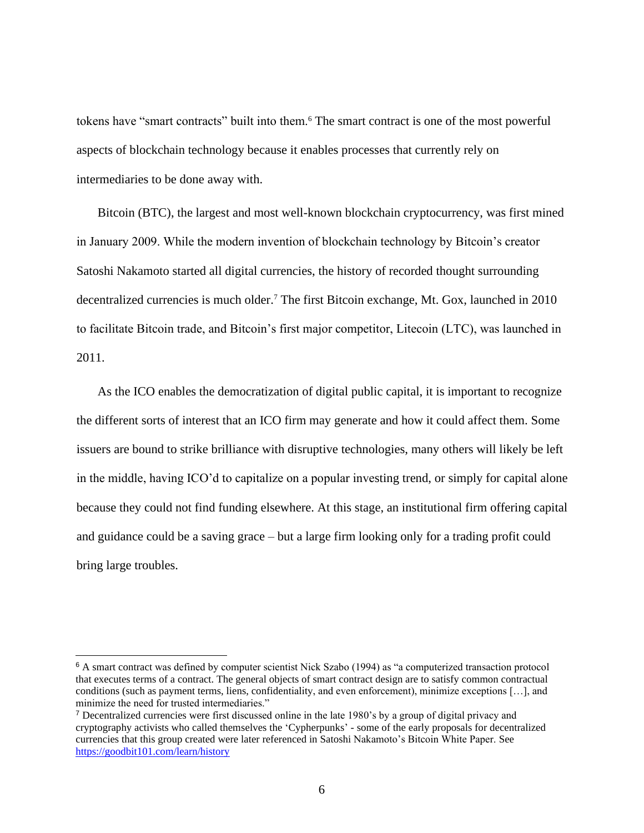tokens have "smart contracts" built into them.<sup>6</sup> The smart contract is one of the most powerful aspects of blockchain technology because it enables processes that currently rely on intermediaries to be done away with.

Bitcoin (BTC), the largest and most well-known blockchain cryptocurrency, was first mined in January 2009. While the modern invention of blockchain technology by Bitcoin's creator Satoshi Nakamoto started all digital currencies, the history of recorded thought surrounding decentralized currencies is much older.<sup>7</sup> The first Bitcoin exchange, Mt. Gox, launched in 2010 to facilitate Bitcoin trade, and Bitcoin's first major competitor, Litecoin (LTC), was launched in 2011.

As the ICO enables the democratization of digital public capital, it is important to recognize the different sorts of interest that an ICO firm may generate and how it could affect them. Some issuers are bound to strike brilliance with disruptive technologies, many others will likely be left in the middle, having ICO'd to capitalize on a popular investing trend, or simply for capital alone because they could not find funding elsewhere. At this stage, an institutional firm offering capital and guidance could be a saving grace – but a large firm looking only for a trading profit could bring large troubles.

<sup>6</sup> A smart contract was defined by computer scientist Nick Szabo (1994) as "a computerized transaction protocol that executes terms of a contract. The general objects of smart contract design are to satisfy common contractual conditions (such as payment terms, liens, confidentiality, and even enforcement), minimize exceptions […], and minimize the need for trusted intermediaries."

<sup>7</sup> Decentralized currencies were first discussed online in the late 1980's by a group of digital privacy and cryptography activists who called themselves the 'Cypherpunks' - some of the early proposals for decentralized currencies that this group created were later referenced in Satoshi Nakamoto's Bitcoin White Paper. See <https://goodbit101.com/learn/history>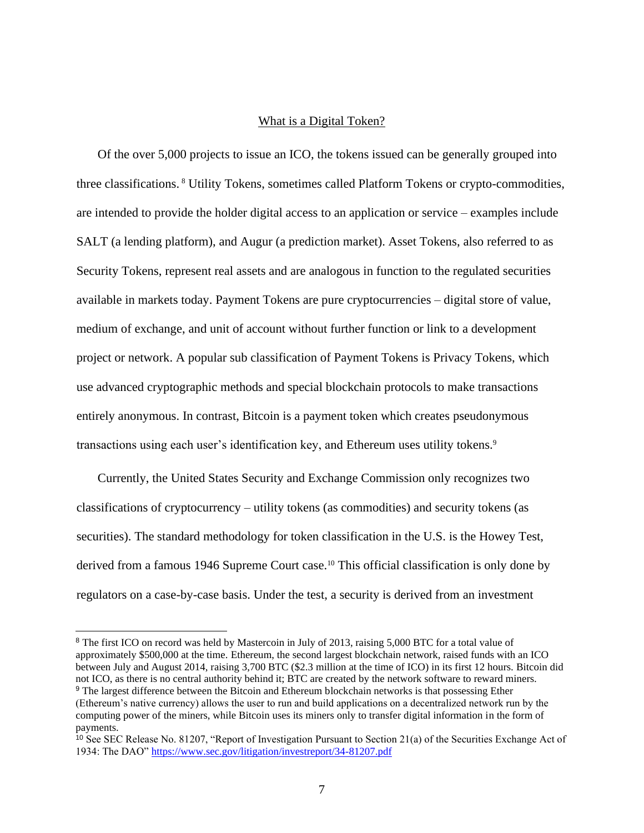#### What is a Digital Token?

<span id="page-14-0"></span>Of the over 5,000 projects to issue an ICO, the tokens issued can be generally grouped into three classifications. <sup>8</sup> Utility Tokens, sometimes called Platform Tokens or crypto-commodities, are intended to provide the holder digital access to an application or service – examples include SALT (a lending platform), and Augur (a prediction market). Asset Tokens, also referred to as Security Tokens, represent real assets and are analogous in function to the regulated securities available in markets today. Payment Tokens are pure cryptocurrencies – digital store of value, medium of exchange, and unit of account without further function or link to a development project or network. A popular sub classification of Payment Tokens is Privacy Tokens, which use advanced cryptographic methods and special blockchain protocols to make transactions entirely anonymous. In contrast, Bitcoin is a payment token which creates pseudonymous transactions using each user's identification key, and Ethereum uses utility tokens.<sup>9</sup>

Currently, the United States Security and Exchange Commission only recognizes two classifications of cryptocurrency – utility tokens (as commodities) and security tokens (as securities). The standard methodology for token classification in the U.S. is the Howey Test, derived from a famous 1946 Supreme Court case.<sup>10</sup> This official classification is only done by regulators on a case-by-case basis. Under the test, a security is derived from an investment

<sup>&</sup>lt;sup>8</sup> The first ICO on record was held by Mastercoin in July of 2013, raising 5,000 BTC for a total value of approximately \$500,000 at the time. Ethereum, the second largest blockchain network, raised funds with an ICO between July and August 2014, raising 3,700 BTC (\$2.3 million at the time of ICO) in its first 12 hours. Bitcoin did not ICO, as there is no central authority behind it; BTC are created by the network software to reward miners. <sup>9</sup> The largest difference between the Bitcoin and Ethereum blockchain networks is that possessing Ether (Ethereum's native currency) allows the user to run and build applications on a decentralized network run by the computing power of the miners, while Bitcoin uses its miners only to transfer digital information in the form of payments.

 $10$  See SEC Release No. 81207, "Report of Investigation Pursuant to Section 21(a) of the Securities Exchange Act of 1934: The DAO"<https://www.sec.gov/litigation/investreport/34-81207.pdf>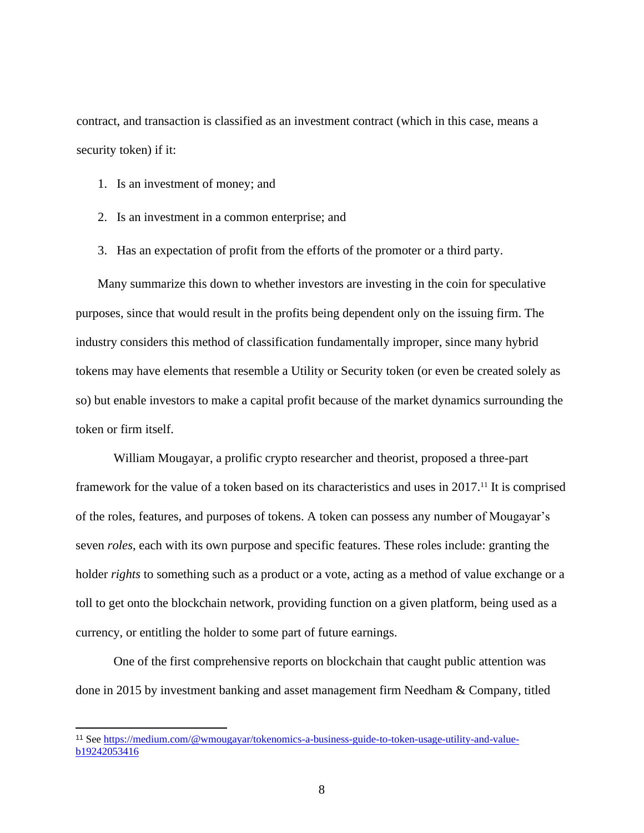contract, and transaction is classified as an investment contract (which in this case, means a security token) if it:

- 1. Is an investment of money; and
- 2. Is an investment in a common enterprise; and
- 3. Has an expectation of profit from the efforts of the promoter or a third party.

Many summarize this down to whether investors are investing in the coin for speculative purposes, since that would result in the profits being dependent only on the issuing firm. The industry considers this method of classification fundamentally improper, since many hybrid tokens may have elements that resemble a Utility or Security token (or even be created solely as so) but enable investors to make a capital profit because of the market dynamics surrounding the token or firm itself.

William Mougayar, a prolific crypto researcher and theorist, proposed a three-part framework for the value of a token based on its characteristics and uses in 2017.<sup>11</sup> It is comprised of the roles, features, and purposes of tokens. A token can possess any number of Mougayar's seven *roles*, each with its own purpose and specific features. These roles include: granting the holder *rights* to something such as a product or a vote, acting as a method of value exchange or a toll to get onto the blockchain network, providing function on a given platform, being used as a currency, or entitling the holder to some part of future earnings.

One of the first comprehensive reports on blockchain that caught public attention was done in 2015 by investment banking and asset management firm Needham & Company, titled

<sup>11</sup> Se[e https://medium.com/@wmougayar/tokenomics-a-business-guide-to-token-usage-utility-and-value](https://medium.com/@wmougayar/tokenomics-a-business-guide-to-token-usage-utility-and-value-b19242053416)[b19242053416](https://medium.com/@wmougayar/tokenomics-a-business-guide-to-token-usage-utility-and-value-b19242053416)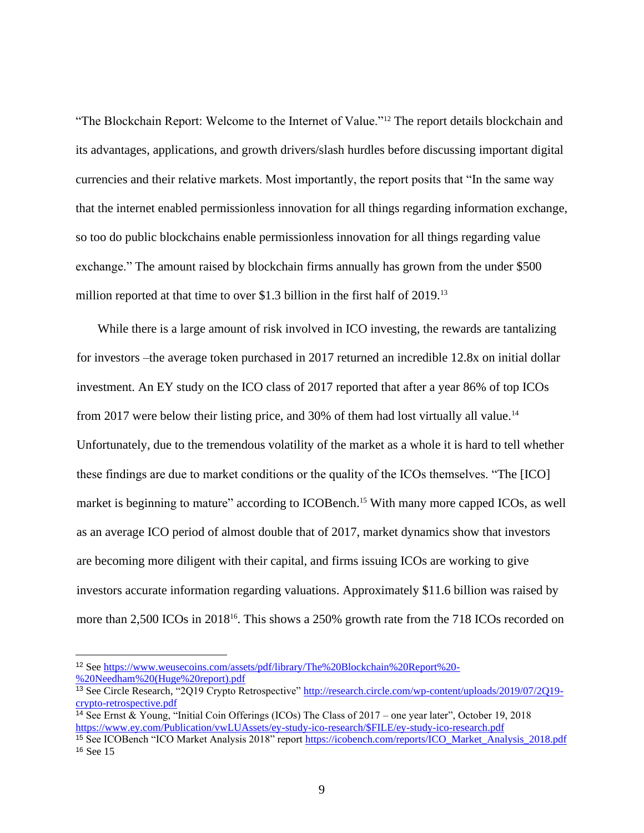"The Blockchain Report: Welcome to the Internet of Value."<sup>12</sup> The report details blockchain and its advantages, applications, and growth drivers/slash hurdles before discussing important digital currencies and their relative markets. Most importantly, the report posits that "In the same way that the internet enabled permissionless innovation for all things regarding information exchange, so too do public blockchains enable permissionless innovation for all things regarding value exchange." The amount raised by blockchain firms annually has grown from the under \$500 million reported at that time to over \$1.3 billion in the first half of 2019. 13

While there is a large amount of risk involved in ICO investing, the rewards are tantalizing for investors –the average token purchased in 2017 returned an incredible 12.8x on initial dollar investment. An EY study on the ICO class of 2017 reported that after a year 86% of top ICOs from 2017 were below their listing price, and 30% of them had lost virtually all value.<sup>14</sup> Unfortunately, due to the tremendous volatility of the market as a whole it is hard to tell whether these findings are due to market conditions or the quality of the ICOs themselves. "The [ICO] market is beginning to mature" according to ICOBench.<sup>15</sup> With many more capped ICOs, as well as an average ICO period of almost double that of 2017, market dynamics show that investors are becoming more diligent with their capital, and firms issuing ICOs are working to give investors accurate information regarding valuations. Approximately \$11.6 billion was raised by more than 2,500 ICOs in 2018<sup>16</sup>. This shows a 250% growth rate from the 718 ICOs recorded on

<sup>12</sup> Se[e https://www.weusecoins.com/assets/pdf/library/The%20Blockchain%20Report%20-](https://www.weusecoins.com/assets/pdf/library/The%20Blockchain%20Report%20-%20Needham%20(Huge%20report).pdf) [%20Needham%20\(Huge%20report\).pdf](https://www.weusecoins.com/assets/pdf/library/The%20Blockchain%20Report%20-%20Needham%20(Huge%20report).pdf)

<sup>&</sup>lt;sup>13</sup> See Circle Research, "2Q19 Crypto Retrospective[" http://research.circle.com/wp-content/uploads/2019/07/2Q19](http://research.circle.com/wp-content/uploads/2019/07/2Q19-crypto-retrospective.pdf) [crypto-retrospective.pdf](http://research.circle.com/wp-content/uploads/2019/07/2Q19-crypto-retrospective.pdf)

<sup>14</sup> See Ernst & Young, "Initial Coin Offerings (ICOs) The Class of 2017 – one year later", October 19, 2018 [https://www.ey.com/Publication/vwLUAssets/ey-study-ico-research/\\$FILE/ey-study-ico-research.pdf](https://www.ey.com/Publication/vwLUAssets/ey-study-ico-research/$FILE/ey-study-ico-research.pdf)

<sup>&</sup>lt;sup>15</sup> See ICOBench "ICO Market Analysis 2018" report [https://icobench.com/reports/ICO\\_Market\\_Analysis\\_2018.pdf](https://icobench.com/reports/ICO_Market_Analysis_2018.pdf) <sup>16</sup> See 15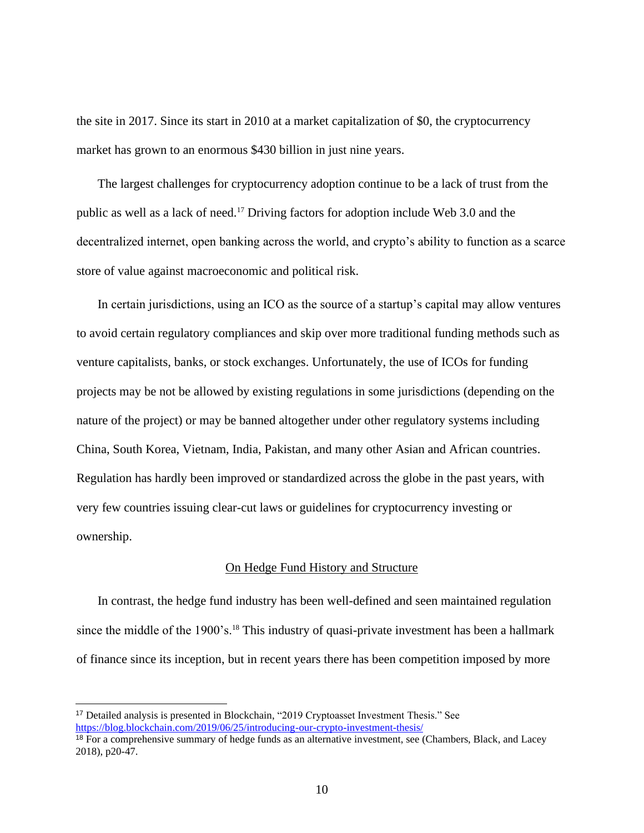the site in 2017. Since its start in 2010 at a market capitalization of \$0, the cryptocurrency market has grown to an enormous \$430 billion in just nine years.

The largest challenges for cryptocurrency adoption continue to be a lack of trust from the public as well as a lack of need.<sup>17</sup> Driving factors for adoption include Web 3.0 and the decentralized internet, open banking across the world, and crypto's ability to function as a scarce store of value against macroeconomic and political risk.

In certain jurisdictions, using an ICO as the source of a startup's capital may allow ventures to avoid certain regulatory compliances and skip over more traditional funding methods such as venture capitalists, banks, or stock exchanges. Unfortunately, the use of ICOs for funding projects may be not be allowed by existing regulations in some jurisdictions (depending on the nature of the project) or may be banned altogether under other regulatory systems including China, South Korea, Vietnam, India, Pakistan, and many other Asian and African countries. Regulation has hardly been improved or standardized across the globe in the past years, with very few countries issuing clear-cut laws or guidelines for cryptocurrency investing or ownership.

#### On Hedge Fund History and Structure

<span id="page-17-0"></span>In contrast, the hedge fund industry has been well-defined and seen maintained regulation since the middle of the 1900's.<sup>18</sup> This industry of quasi-private investment has been a hallmark of finance since its inception, but in recent years there has been competition imposed by more

<sup>17</sup> Detailed analysis is presented in Blockchain, "2019 Cryptoasset Investment Thesis." See <https://blog.blockchain.com/2019/06/25/introducing-our-crypto-investment-thesis/>

<sup>&</sup>lt;sup>18</sup> For a comprehensive summary of hedge funds as an alternative investment, see (Chambers, Black, and Lacey 2018), p20-47.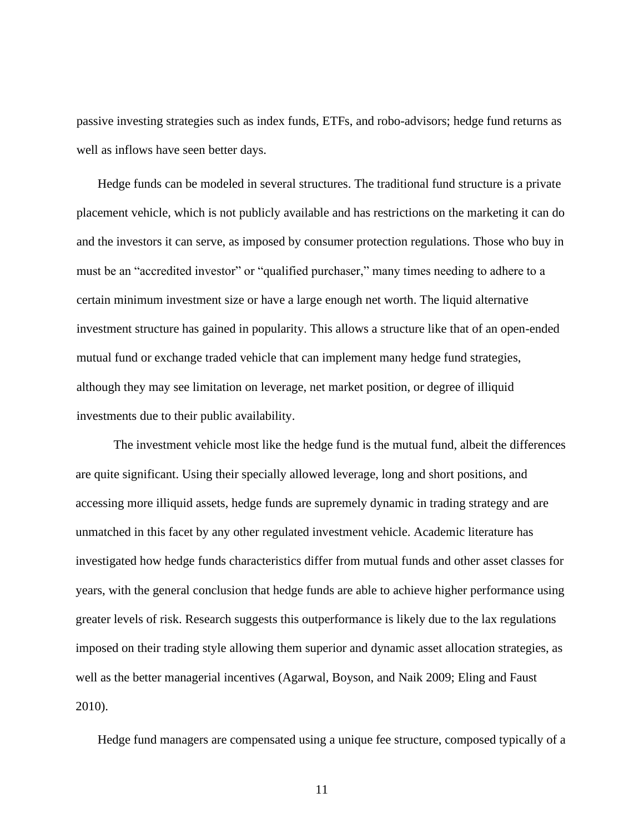passive investing strategies such as index funds, ETFs, and robo-advisors; hedge fund returns as well as inflows have seen better days.

Hedge funds can be modeled in several structures. The traditional fund structure is a private placement vehicle, which is not publicly available and has restrictions on the marketing it can do and the investors it can serve, as imposed by consumer protection regulations. Those who buy in must be an "accredited investor" or "qualified purchaser," many times needing to adhere to a certain minimum investment size or have a large enough net worth. The liquid alternative investment structure has gained in popularity. This allows a structure like that of an open-ended mutual fund or exchange traded vehicle that can implement many hedge fund strategies, although they may see limitation on leverage, net market position, or degree of illiquid investments due to their public availability.

The investment vehicle most like the hedge fund is the mutual fund, albeit the differences are quite significant. Using their specially allowed leverage, long and short positions, and accessing more illiquid assets, hedge funds are supremely dynamic in trading strategy and are unmatched in this facet by any other regulated investment vehicle. Academic literature has investigated how hedge funds characteristics differ from mutual funds and other asset classes for years, with the general conclusion that hedge funds are able to achieve higher performance using greater levels of risk. Research suggests this outperformance is likely due to the lax regulations imposed on their trading style allowing them superior and dynamic asset allocation strategies, as well as the better managerial incentives (Agarwal, Boyson, and Naik 2009; Eling and Faust 2010).

Hedge fund managers are compensated using a unique fee structure, composed typically of a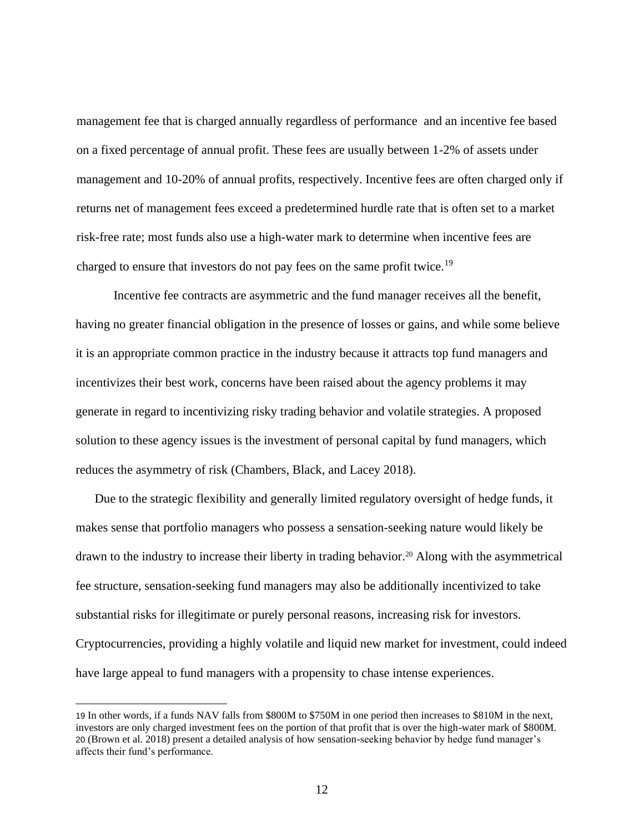management fee that is charged annually regardless of performance and an incentive fee based on a fixed percentage of annual profit. These fees are usually between 1-2% of assets under management and 10-20% of annual profits, respectively. Incentive fees are often charged only if returns net of management fees exceed a predetermined hurdle rate that is often set to a market risk-free rate; most funds also use a high-water mark to determine when incentive fees are charged to ensure that investors do not pay fees on the same profit twice.<sup>19</sup>

Incentive fee contracts are asymmetric and the fund manager receives all the benefit, having no greater financial obligation in the presence of losses or gains, and while some believe it is an appropriate common practice in the industry because it attracts top fund managers and incentivizes their best work, concerns have been raised about the agency problems it may generate in regard to incentivizing risky trading behavior and volatile strategies. A proposed solution to these agency issues is the investment of personal capital by fund managers, which reduces the asymmetry of risk (Chambers, Black, and Lacey 2018).

Due to the strategic flexibility and generally limited regulatory oversight of hedge funds, it makes sense that portfolio managers who possess a sensation-seeking nature would likely be drawn to the industry to increase their liberty in trading behavior.<sup>20</sup> Along with the asymmetrical fee structure, sensation-seeking fund managers may also be additionally incentivized to take substantial risks for illegitimate or purely personal reasons, increasing risk for investors. Cryptocurrencies, providing a highly volatile and liquid new market for investment, could indeed have large appeal to fund managers with a propensity to chase intense experiences.

<sup>19</sup> In other words, if a funds NAV falls from \$800M to \$750M in one period then increases to \$810M in the next, investors are only charged investment fees on the portion of that profit that is over the high-water mark of \$800M. 20 (Brown et al. 2018) present a detailed analysis of how sensation-seeking behavior by hedge fund manager's affects their fund's performance.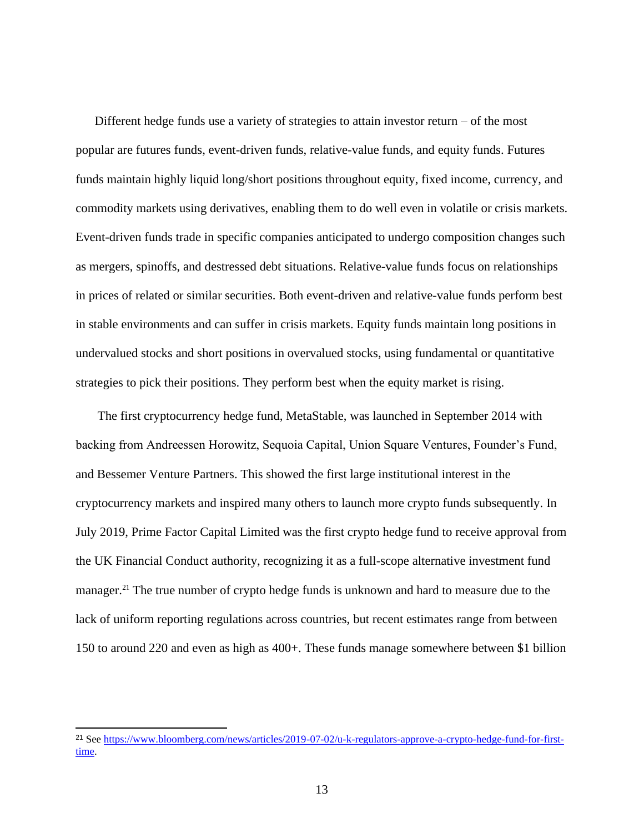Different hedge funds use a variety of strategies to attain investor return – of the most popular are futures funds, event-driven funds, relative-value funds, and equity funds. Futures funds maintain highly liquid long/short positions throughout equity, fixed income, currency, and commodity markets using derivatives, enabling them to do well even in volatile or crisis markets. Event-driven funds trade in specific companies anticipated to undergo composition changes such as mergers, spinoffs, and destressed debt situations. Relative-value funds focus on relationships in prices of related or similar securities. Both event-driven and relative-value funds perform best in stable environments and can suffer in crisis markets. Equity funds maintain long positions in undervalued stocks and short positions in overvalued stocks, using fundamental or quantitative strategies to pick their positions. They perform best when the equity market is rising.

The first cryptocurrency hedge fund, MetaStable, was launched in September 2014 with backing from Andreessen Horowitz, Sequoia Capital, Union Square Ventures, Founder's Fund, and Bessemer Venture Partners. This showed the first large institutional interest in the cryptocurrency markets and inspired many others to launch more crypto funds subsequently. In July 2019, Prime Factor Capital Limited was the first crypto hedge fund to receive approval from the UK Financial Conduct authority, recognizing it as a full-scope alternative investment fund manager.<sup>21</sup> The true number of crypto hedge funds is unknown and hard to measure due to the lack of uniform reporting regulations across countries, but recent estimates range from between 150 to around 220 and even as high as 400+. These funds manage somewhere between \$1 billion

<sup>21</sup> Se[e https://www.bloomberg.com/news/articles/2019-07-02/u-k-regulators-approve-a-crypto-hedge-fund-for-first](https://www.bloomberg.com/news/articles/2019-07-02/u-k-regulators-approve-a-crypto-hedge-fund-for-first-time)[time.](https://www.bloomberg.com/news/articles/2019-07-02/u-k-regulators-approve-a-crypto-hedge-fund-for-first-time)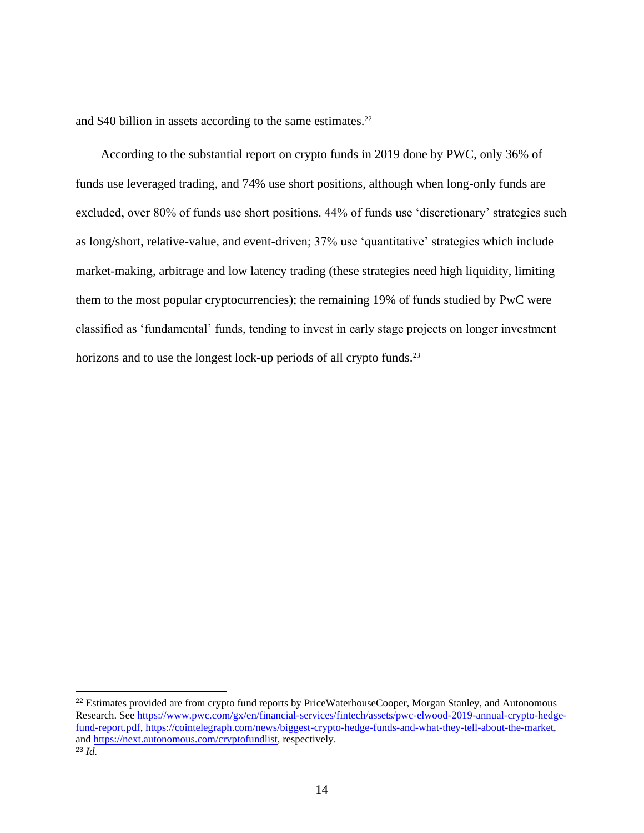and \$40 billion in assets according to the same estimates. $22$ 

According to the substantial report on crypto funds in 2019 done by PWC, only 36% of funds use leveraged trading, and 74% use short positions, although when long-only funds are excluded, over 80% of funds use short positions. 44% of funds use 'discretionary' strategies such as long/short, relative-value, and event-driven; 37% use 'quantitative' strategies which include market-making, arbitrage and low latency trading (these strategies need high liquidity, limiting them to the most popular cryptocurrencies); the remaining 19% of funds studied by PwC were classified as 'fundamental' funds, tending to invest in early stage projects on longer investment horizons and to use the longest lock-up periods of all crypto funds.<sup>23</sup>

<sup>&</sup>lt;sup>22</sup> Estimates provided are from crypto fund reports by PriceWaterhouseCooper, Morgan Stanley, and Autonomous Research. Se[e https://www.pwc.com/gx/en/financial-services/fintech/assets/pwc-elwood-2019-annual-crypto-hedge](https://www.pwc.com/gx/en/financial-services/fintech/assets/pwc-elwood-2019-annual-crypto-hedge-fund-report.pdf)[fund-report.pdf,](https://www.pwc.com/gx/en/financial-services/fintech/assets/pwc-elwood-2019-annual-crypto-hedge-fund-report.pdf) [https://cointelegraph.com/news/biggest-crypto-hedge-funds-and-what-they-tell-about-the-market,](https://cointelegraph.com/news/biggest-crypto-hedge-funds-and-what-they-tell-about-the-market) and [https://next.autonomous.com/cryptofundlist,](https://next.autonomous.com/cryptofundlist) respectively. <sup>23</sup> *Id.*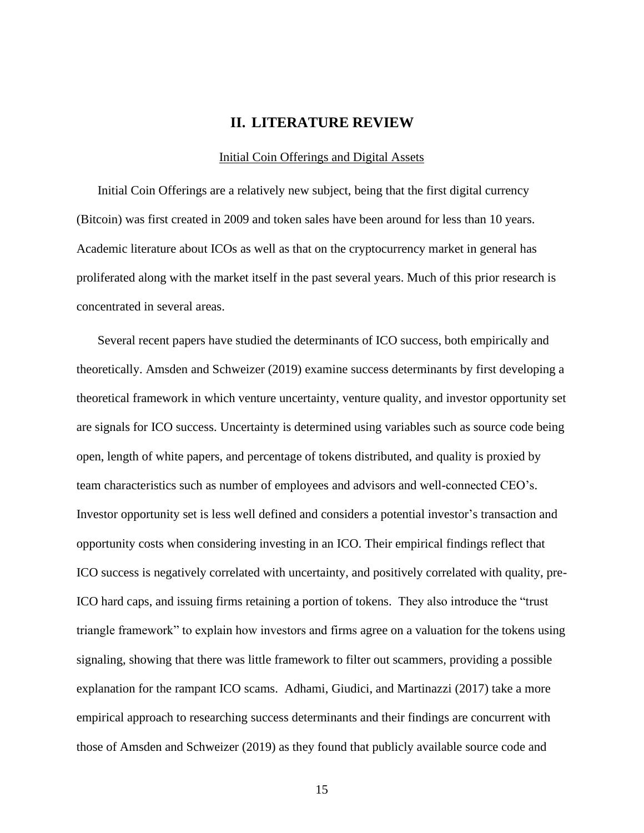#### **II. LITERATURE REVIEW**

#### Initial Coin Offerings and Digital Assets

<span id="page-22-1"></span><span id="page-22-0"></span>Initial Coin Offerings are a relatively new subject, being that the first digital currency (Bitcoin) was first created in 2009 and token sales have been around for less than 10 years. Academic literature about ICOs as well as that on the cryptocurrency market in general has proliferated along with the market itself in the past several years. Much of this prior research is concentrated in several areas.

Several recent papers have studied the determinants of ICO success, both empirically and theoretically. Amsden and Schweizer (2019) examine success determinants by first developing a theoretical framework in which venture uncertainty, venture quality, and investor opportunity set are signals for ICO success. Uncertainty is determined using variables such as source code being open, length of white papers, and percentage of tokens distributed, and quality is proxied by team characteristics such as number of employees and advisors and well-connected CEO's. Investor opportunity set is less well defined and considers a potential investor's transaction and opportunity costs when considering investing in an ICO. Their empirical findings reflect that ICO success is negatively correlated with uncertainty, and positively correlated with quality, pre-ICO hard caps, and issuing firms retaining a portion of tokens. They also introduce the "trust triangle framework" to explain how investors and firms agree on a valuation for the tokens using signaling, showing that there was little framework to filter out scammers, providing a possible explanation for the rampant ICO scams. Adhami, Giudici, and Martinazzi (2017) take a more empirical approach to researching success determinants and their findings are concurrent with those of Amsden and Schweizer (2019) as they found that publicly available source code and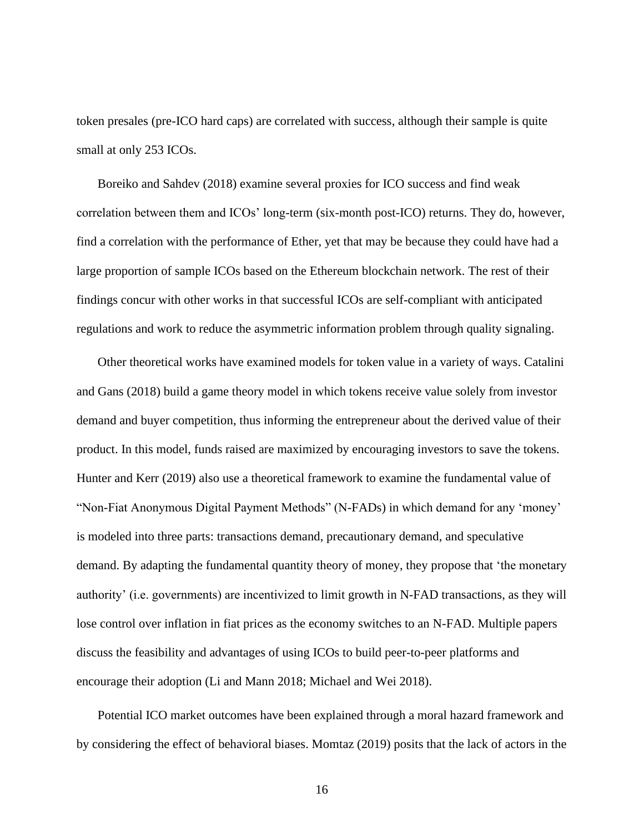token presales (pre-ICO hard caps) are correlated with success, although their sample is quite small at only 253 ICOs.

Boreiko and Sahdev (2018) examine several proxies for ICO success and find weak correlation between them and ICOs' long-term (six-month post-ICO) returns. They do, however, find a correlation with the performance of Ether, yet that may be because they could have had a large proportion of sample ICOs based on the Ethereum blockchain network. The rest of their findings concur with other works in that successful ICOs are self-compliant with anticipated regulations and work to reduce the asymmetric information problem through quality signaling.

Other theoretical works have examined models for token value in a variety of ways. Catalini and Gans (2018) build a game theory model in which tokens receive value solely from investor demand and buyer competition, thus informing the entrepreneur about the derived value of their product. In this model, funds raised are maximized by encouraging investors to save the tokens. Hunter and Kerr (2019) also use a theoretical framework to examine the fundamental value of "Non-Fiat Anonymous Digital Payment Methods" (N-FADs) in which demand for any 'money' is modeled into three parts: transactions demand, precautionary demand, and speculative demand. By adapting the fundamental quantity theory of money, they propose that 'the monetary authority' (i.e. governments) are incentivized to limit growth in N-FAD transactions, as they will lose control over inflation in fiat prices as the economy switches to an N-FAD. Multiple papers discuss the feasibility and advantages of using ICOs to build peer-to-peer platforms and encourage their adoption (Li and Mann 2018; Michael and Wei 2018).

Potential ICO market outcomes have been explained through a moral hazard framework and by considering the effect of behavioral biases. Momtaz (2019) posits that the lack of actors in the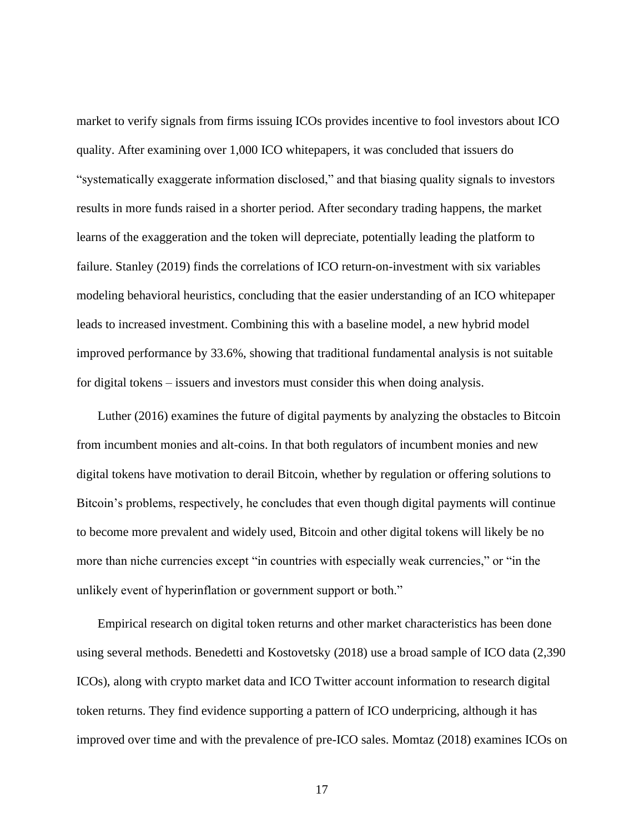market to verify signals from firms issuing ICOs provides incentive to fool investors about ICO quality. After examining over 1,000 ICO whitepapers, it was concluded that issuers do "systematically exaggerate information disclosed," and that biasing quality signals to investors results in more funds raised in a shorter period. After secondary trading happens, the market learns of the exaggeration and the token will depreciate, potentially leading the platform to failure. Stanley (2019) finds the correlations of ICO return-on-investment with six variables modeling behavioral heuristics, concluding that the easier understanding of an ICO whitepaper leads to increased investment. Combining this with a baseline model, a new hybrid model improved performance by 33.6%, showing that traditional fundamental analysis is not suitable for digital tokens – issuers and investors must consider this when doing analysis.

Luther (2016) examines the future of digital payments by analyzing the obstacles to Bitcoin from incumbent monies and alt-coins. In that both regulators of incumbent monies and new digital tokens have motivation to derail Bitcoin, whether by regulation or offering solutions to Bitcoin's problems, respectively, he concludes that even though digital payments will continue to become more prevalent and widely used, Bitcoin and other digital tokens will likely be no more than niche currencies except "in countries with especially weak currencies," or "in the unlikely event of hyperinflation or government support or both."

Empirical research on digital token returns and other market characteristics has been done using several methods. Benedetti and Kostovetsky (2018) use a broad sample of ICO data (2,390 ICOs), along with crypto market data and ICO Twitter account information to research digital token returns. They find evidence supporting a pattern of ICO underpricing, although it has improved over time and with the prevalence of pre-ICO sales. Momtaz (2018) examines ICOs on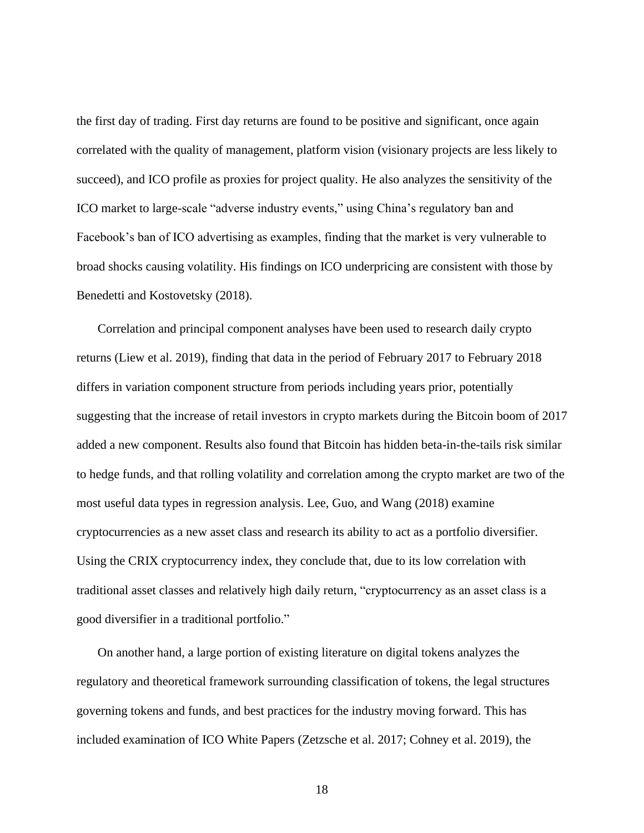the first day of trading. First day returns are found to be positive and significant, once again correlated with the quality of management, platform vision (visionary projects are less likely to succeed), and ICO profile as proxies for project quality. He also analyzes the sensitivity of the ICO market to large-scale "adverse industry events," using China's regulatory ban and Facebook's ban of ICO advertising as examples, finding that the market is very vulnerable to broad shocks causing volatility. His findings on ICO underpricing are consistent with those by Benedetti and Kostovetsky (2018).

Correlation and principal component analyses have been used to research daily crypto returns (Liew et al. 2019), finding that data in the period of February 2017 to February 2018 differs in variation component structure from periods including years prior, potentially suggesting that the increase of retail investors in crypto markets during the Bitcoin boom of 2017 added a new component. Results also found that Bitcoin has hidden beta-in-the-tails risk similar to hedge funds, and that rolling volatility and correlation among the crypto market are two of the most useful data types in regression analysis. Lee, Guo, and Wang (2018) examine cryptocurrencies as a new asset class and research its ability to act as a portfolio diversifier. Using the CRIX cryptocurrency index, they conclude that, due to its low correlation with traditional asset classes and relatively high daily return, "cryptocurrency as an asset class is a good diversifier in a traditional portfolio."

On another hand, a large portion of existing literature on digital tokens analyzes the regulatory and theoretical framework surrounding classification of tokens, the legal structures governing tokens and funds, and best practices for the industry moving forward. This has included examination of ICO White Papers (Zetzsche et al. 2017; Cohney et al. 2019), the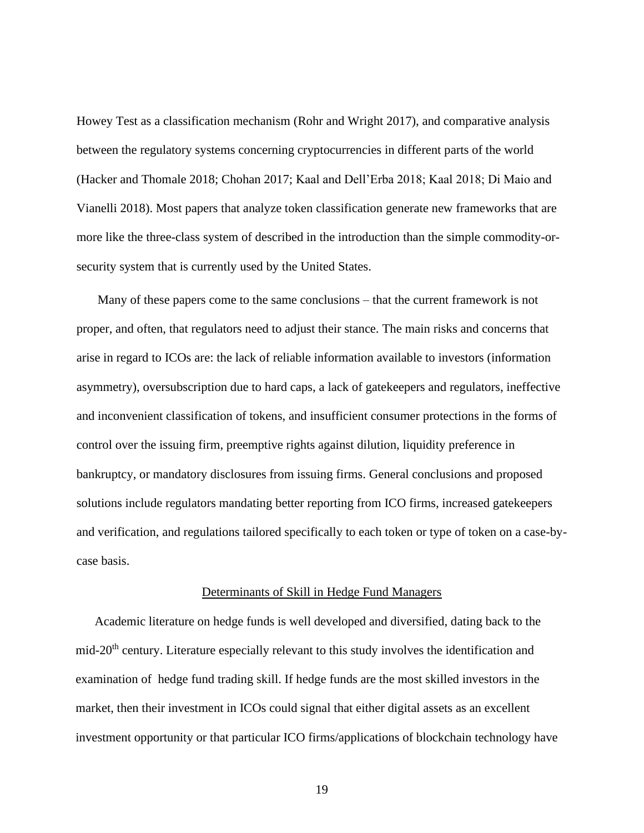Howey Test as a classification mechanism (Rohr and Wright 2017), and comparative analysis between the regulatory systems concerning cryptocurrencies in different parts of the world (Hacker and Thomale 2018; Chohan 2017; Kaal and Dell'Erba 2018; Kaal 2018; Di Maio and Vianelli 2018). Most papers that analyze token classification generate new frameworks that are more like the three-class system of described in the introduction than the simple commodity-orsecurity system that is currently used by the United States.

Many of these papers come to the same conclusions – that the current framework is not proper, and often, that regulators need to adjust their stance. The main risks and concerns that arise in regard to ICOs are: the lack of reliable information available to investors (information asymmetry), oversubscription due to hard caps, a lack of gatekeepers and regulators, ineffective and inconvenient classification of tokens, and insufficient consumer protections in the forms of control over the issuing firm, preemptive rights against dilution, liquidity preference in bankruptcy, or mandatory disclosures from issuing firms. General conclusions and proposed solutions include regulators mandating better reporting from ICO firms, increased gatekeepers and verification, and regulations tailored specifically to each token or type of token on a case-bycase basis.

#### Determinants of Skill in Hedge Fund Managers

<span id="page-26-0"></span>Academic literature on hedge funds is well developed and diversified, dating back to the mid-20th century. Literature especially relevant to this study involves the identification and examination of hedge fund trading skill. If hedge funds are the most skilled investors in the market, then their investment in ICOs could signal that either digital assets as an excellent investment opportunity or that particular ICO firms/applications of blockchain technology have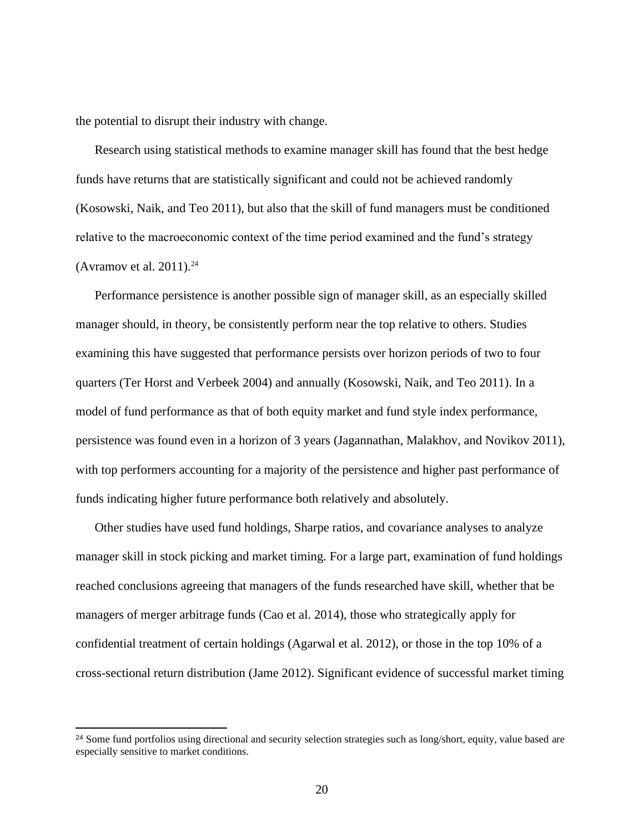the potential to disrupt their industry with change.

Research using statistical methods to examine manager skill has found that the best hedge funds have returns that are statistically significant and could not be achieved randomly (Kosowski, Naik, and Teo 2011), but also that the skill of fund managers must be conditioned relative to the macroeconomic context of the time period examined and the fund's strategy (Avramov et al. 2011). 24

Performance persistence is another possible sign of manager skill, as an especially skilled manager should, in theory, be consistently perform near the top relative to others. Studies examining this have suggested that performance persists over horizon periods of two to four quarters (Ter Horst and Verbeek 2004) and annually (Kosowski, Naik, and Teo 2011). In a model of fund performance as that of both equity market and fund style index performance, persistence was found even in a horizon of 3 years (Jagannathan, Malakhov, and Novikov 2011), with top performers accounting for a majority of the persistence and higher past performance of funds indicating higher future performance both relatively and absolutely.

Other studies have used fund holdings, Sharpe ratios, and covariance analyses to analyze manager skill in stock picking and market timing. For a large part, examination of fund holdings reached conclusions agreeing that managers of the funds researched have skill, whether that be managers of merger arbitrage funds (Cao et al. 2014), those who strategically apply for confidential treatment of certain holdings (Agarwal et al. 2012), or those in the top 10% of a cross-sectional return distribution (Jame 2012). Significant evidence of successful market timing

<sup>&</sup>lt;sup>24</sup> Some fund portfolios using directional and security selection strategies such as long/short, equity, value based are especially sensitive to market conditions.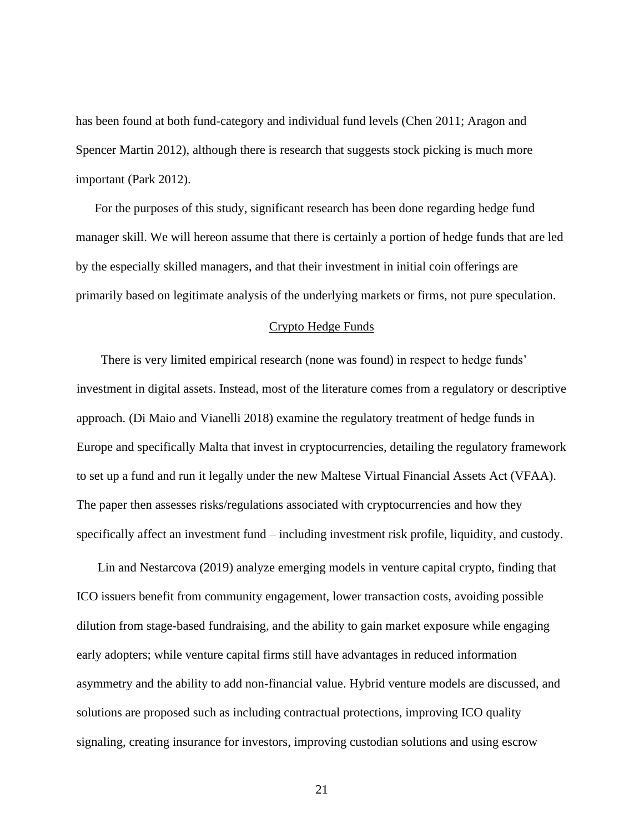has been found at both fund-category and individual fund levels (Chen 2011; Aragon and Spencer Martin 2012), although there is research that suggests stock picking is much more important (Park 2012).

For the purposes of this study, significant research has been done regarding hedge fund manager skill. We will hereon assume that there is certainly a portion of hedge funds that are led by the especially skilled managers, and that their investment in initial coin offerings are primarily based on legitimate analysis of the underlying markets or firms, not pure speculation.

#### Crypto Hedge Funds

<span id="page-28-0"></span>There is very limited empirical research (none was found) in respect to hedge funds' investment in digital assets. Instead, most of the literature comes from a regulatory or descriptive approach. (Di Maio and Vianelli 2018) examine the regulatory treatment of hedge funds in Europe and specifically Malta that invest in cryptocurrencies, detailing the regulatory framework to set up a fund and run it legally under the new Maltese Virtual Financial Assets Act (VFAA). The paper then assesses risks/regulations associated with cryptocurrencies and how they specifically affect an investment fund – including investment risk profile, liquidity, and custody.

Lin and Nestarcova (2019) analyze emerging models in venture capital crypto, finding that ICO issuers benefit from community engagement, lower transaction costs, avoiding possible dilution from stage-based fundraising, and the ability to gain market exposure while engaging early adopters; while venture capital firms still have advantages in reduced information asymmetry and the ability to add non-financial value. Hybrid venture models are discussed, and solutions are proposed such as including contractual protections, improving ICO quality signaling, creating insurance for investors, improving custodian solutions and using escrow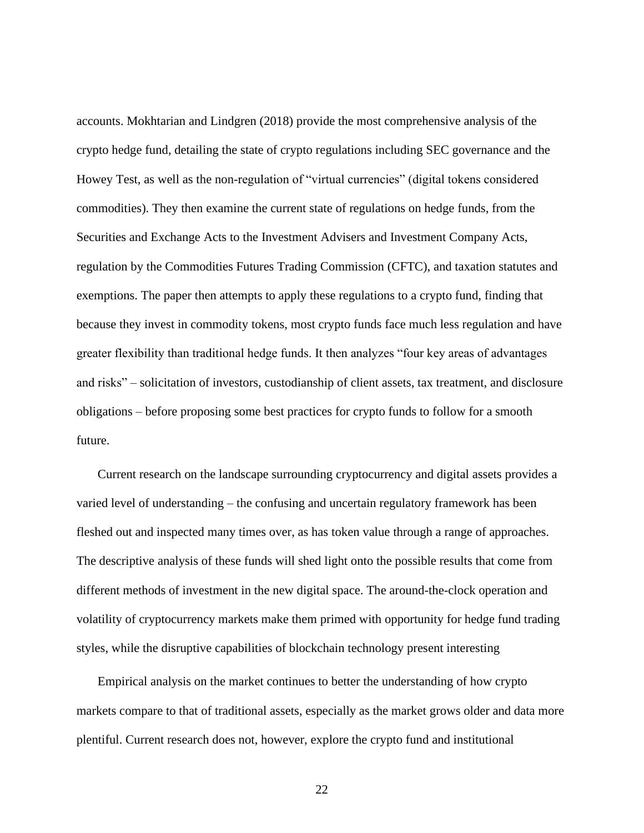accounts. Mokhtarian and Lindgren (2018) provide the most comprehensive analysis of the crypto hedge fund, detailing the state of crypto regulations including SEC governance and the Howey Test, as well as the non-regulation of "virtual currencies" (digital tokens considered commodities). They then examine the current state of regulations on hedge funds, from the Securities and Exchange Acts to the Investment Advisers and Investment Company Acts, regulation by the Commodities Futures Trading Commission (CFTC), and taxation statutes and exemptions. The paper then attempts to apply these regulations to a crypto fund, finding that because they invest in commodity tokens, most crypto funds face much less regulation and have greater flexibility than traditional hedge funds. It then analyzes "four key areas of advantages and risks" – solicitation of investors, custodianship of client assets, tax treatment, and disclosure obligations – before proposing some best practices for crypto funds to follow for a smooth future.

Current research on the landscape surrounding cryptocurrency and digital assets provides a varied level of understanding – the confusing and uncertain regulatory framework has been fleshed out and inspected many times over, as has token value through a range of approaches. The descriptive analysis of these funds will shed light onto the possible results that come from different methods of investment in the new digital space. The around-the-clock operation and volatility of cryptocurrency markets make them primed with opportunity for hedge fund trading styles, while the disruptive capabilities of blockchain technology present interesting

Empirical analysis on the market continues to better the understanding of how crypto markets compare to that of traditional assets, especially as the market grows older and data more plentiful. Current research does not, however, explore the crypto fund and institutional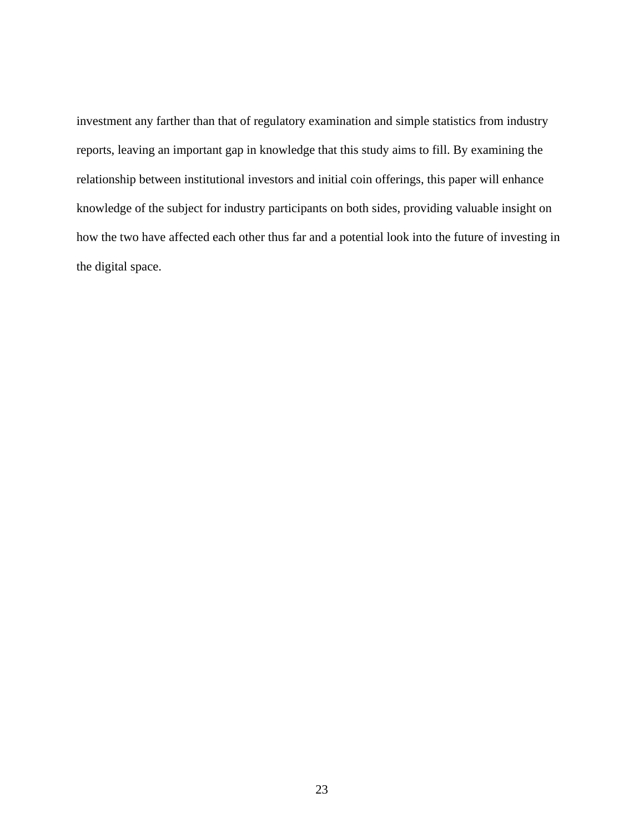investment any farther than that of regulatory examination and simple statistics from industry reports, leaving an important gap in knowledge that this study aims to fill. By examining the relationship between institutional investors and initial coin offerings, this paper will enhance knowledge of the subject for industry participants on both sides, providing valuable insight on how the two have affected each other thus far and a potential look into the future of investing in the digital space.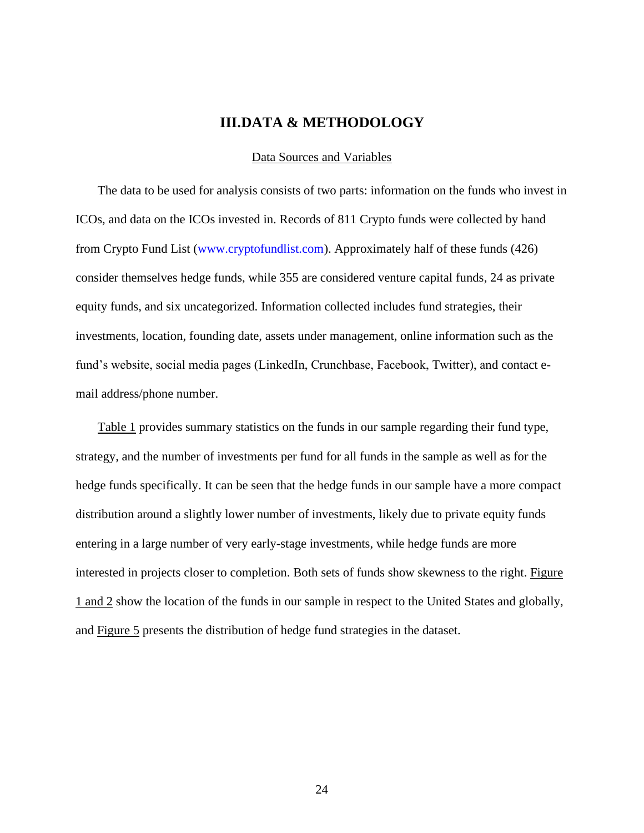#### **III.DATA & METHODOLOGY**

#### Data Sources and Variables

<span id="page-31-1"></span><span id="page-31-0"></span>The data to be used for analysis consists of two parts: information on the funds who invest in ICOs, and data on the ICOs invested in. Records of 811 Crypto funds were collected by hand from Crypto Fund List [\(www.cryptofundlist.com\)](http://www.cryptofundlist.com/). Approximately half of these funds (426) consider themselves hedge funds, while 355 are considered venture capital funds, 24 as private equity funds, and six uncategorized. Information collected includes fund strategies, their investments, location, founding date, assets under management, online information such as the fund's website, social media pages (LinkedIn, Crunchbase, Facebook, Twitter), and contact email address/phone number.

Table 1 provides summary statistics on the funds in our sample regarding their fund type, strategy, and the number of investments per fund for all funds in the sample as well as for the hedge funds specifically. It can be seen that the hedge funds in our sample have a more compact distribution around a slightly lower number of investments, likely due to private equity funds entering in a large number of very early-stage investments, while hedge funds are more interested in projects closer to completion. Both sets of funds show skewness to the right. Figure 1 and 2 show the location of the funds in our sample in respect to the United States and globally, and Figure 5 presents the distribution of hedge fund strategies in the dataset.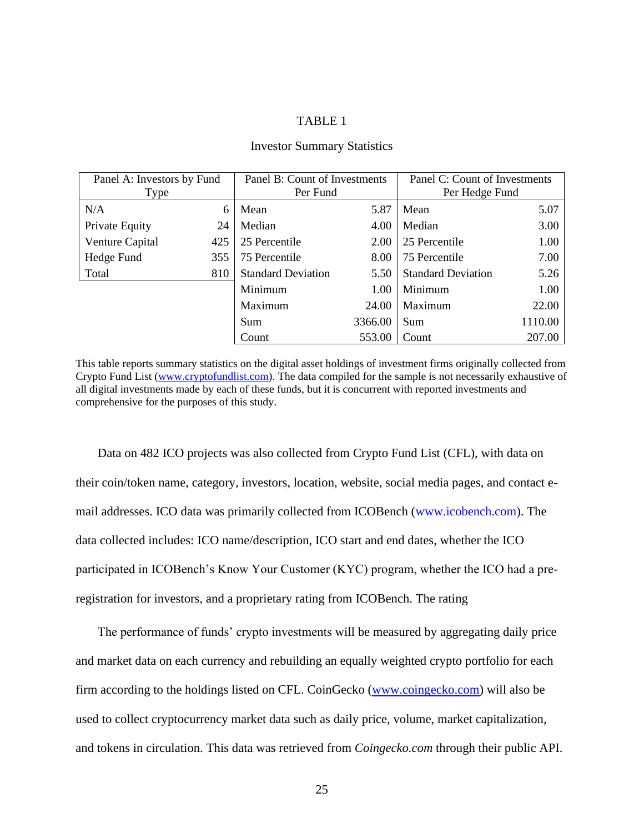#### TABLE 1

<span id="page-32-0"></span>

| Panel A: Investors by Fund |     |                           | Panel B: Count of Investments<br>Panel C: Count of Investments |                           |         |
|----------------------------|-----|---------------------------|----------------------------------------------------------------|---------------------------|---------|
| Type                       |     | Per Fund                  |                                                                | Per Hedge Fund            |         |
| N/A                        | 6   | Mean                      | 5.87                                                           | Mean                      | 5.07    |
| Private Equity             | 24  | Median                    | 4.00                                                           | Median                    | 3.00    |
| Venture Capital            | 425 | 25 Percentile             | 2.00                                                           | 25 Percentile             | 1.00    |
| Hedge Fund                 | 355 | 75 Percentile             | 8.00                                                           | 75 Percentile             | 7.00    |
| Total                      | 810 | <b>Standard Deviation</b> | 5.50                                                           | <b>Standard Deviation</b> | 5.26    |
|                            |     | Minimum                   | 1.00                                                           | Minimum                   | 1.00    |
|                            |     | Maximum                   | 24.00                                                          | Maximum                   | 22.00   |
|                            |     | Sum                       | 3366.00                                                        | Sum                       | 1110.00 |
|                            |     | Count                     | 553.00                                                         | Count                     | 207.00  |

#### Investor Summary Statistics

This table reports summary statistics on the digital asset holdings of investment firms originally collected from Crypto Fund List [\(www.cryptofundlist.com\)](http://www.cryptofundlist.com/). The data compiled for the sample is not necessarily exhaustive of all digital investments made by each of these funds, but it is concurrent with reported investments and comprehensive for the purposes of this study.

Data on 482 ICO projects was also collected from Crypto Fund List (CFL), with data on their coin/token name, category, investors, location, website, social media pages, and contact email addresses. ICO data was primarily collected from ICOBench [\(www.icobench.com\)](http://www.icobench.com/). The data collected includes: ICO name/description, ICO start and end dates, whether the ICO participated in ICOBench's Know Your Customer (KYC) program, whether the ICO had a preregistration for investors, and a proprietary rating from ICOBench. The rating

The performance of funds' crypto investments will be measured by aggregating daily price and market data on each currency and rebuilding an equally weighted crypto portfolio for each firm according to the holdings listed on CFL. CoinGecko [\(www.coingecko.com\)](http://www.coingecko.com/) will also be used to collect cryptocurrency market data such as daily price, volume, market capitalization, and tokens in circulation. This data was retrieved from *Coingecko.com* through their public API.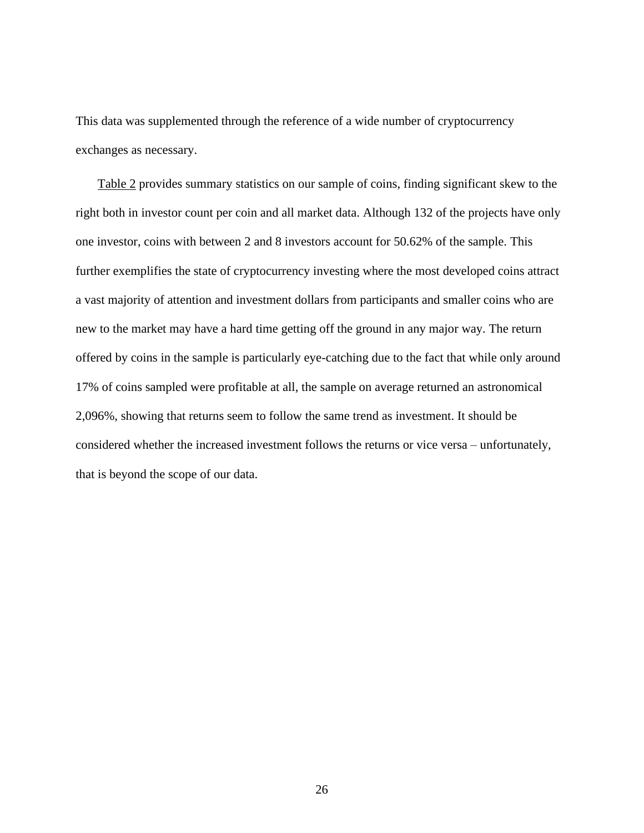This data was supplemented through the reference of a wide number of cryptocurrency exchanges as necessary.

Table 2 provides summary statistics on our sample of coins, finding significant skew to the right both in investor count per coin and all market data. Although 132 of the projects have only one investor, coins with between 2 and 8 investors account for 50.62% of the sample. This further exemplifies the state of cryptocurrency investing where the most developed coins attract a vast majority of attention and investment dollars from participants and smaller coins who are new to the market may have a hard time getting off the ground in any major way. The return offered by coins in the sample is particularly eye-catching due to the fact that while only around 17% of coins sampled were profitable at all, the sample on average returned an astronomical 2,096%, showing that returns seem to follow the same trend as investment. It should be considered whether the increased investment follows the returns or vice versa – unfortunately, that is beyond the scope of our data.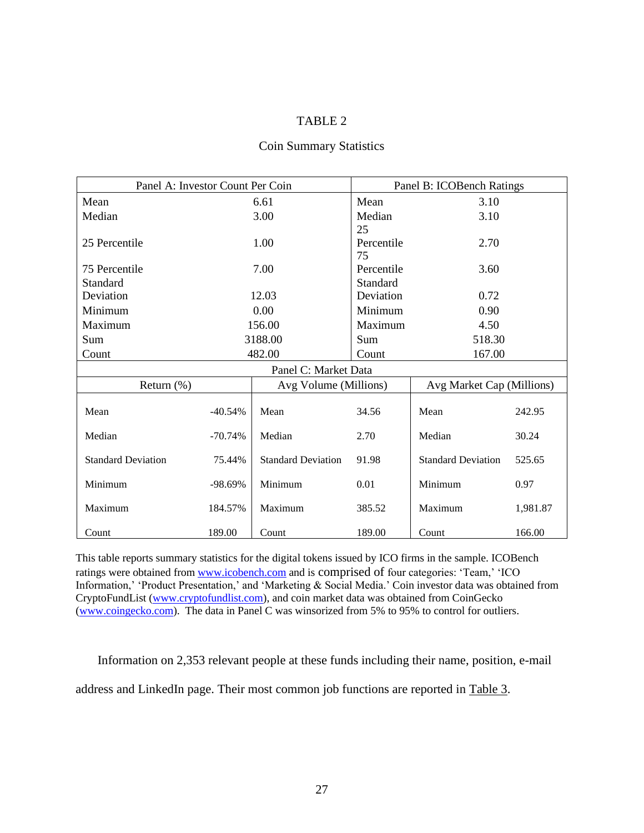#### TABLE 2

<span id="page-34-0"></span>

| Panel A: Investor Count Per Coin |           |                           | Panel B: ICOBench Ratings |                           |          |  |
|----------------------------------|-----------|---------------------------|---------------------------|---------------------------|----------|--|
| Mean                             | 6.61      |                           | Mean                      | 3.10                      |          |  |
| Median                           |           | 3.00                      | Median                    | 3.10                      |          |  |
|                                  |           |                           | 25                        |                           |          |  |
| 25 Percentile                    |           | 1.00                      | Percentile                | 2.70                      |          |  |
|                                  |           |                           | 75                        |                           |          |  |
| 75 Percentile                    |           | 7.00                      | Percentile                | 3.60                      |          |  |
| Standard                         |           |                           | Standard                  |                           |          |  |
| Deviation                        |           | 12.03                     | Deviation                 | 0.72                      |          |  |
| Minimum                          |           | 0.00                      | Minimum                   | 0.90                      |          |  |
| Maximum                          |           | 156.00                    | Maximum                   | 4.50                      |          |  |
| Sum                              | 3188.00   |                           | Sum                       | 518.30                    |          |  |
| Count                            | 482.00    |                           | Count                     | 167.00                    |          |  |
|                                  |           | Panel C: Market Data      |                           |                           |          |  |
| Return $(\%)$                    |           | Avg Volume (Millions)     |                           | Avg Market Cap (Millions) |          |  |
| Mean                             | $-40.54%$ | Mean                      | 34.56                     | Mean                      | 242.95   |  |
| Median                           | $-70.74%$ | Median                    | 2.70                      | Median                    | 30.24    |  |
| <b>Standard Deviation</b>        | 75.44%    | <b>Standard Deviation</b> | 91.98                     | <b>Standard Deviation</b> | 525.65   |  |
| Minimum                          | $-98.69%$ | Minimum                   | 0.01                      | Minimum                   | 0.97     |  |
| Maximum                          | 184.57%   | Maximum                   | 385.52                    | Maximum                   | 1,981.87 |  |
| Count                            | 189.00    | Count                     | 189.00                    | Count                     | 166.00   |  |

#### Coin Summary Statistics

This table reports summary statistics for the digital tokens issued by ICO firms in the sample. ICOBench ratings were obtained from [www.icobench.com](http://www.icobench.com/) and is comprised of four categories: 'Team,' 'ICO Information,' 'Product Presentation,' and 'Marketing & Social Media.' Coin investor data was obtained from CryptoFundList [\(www.cryptofundlist.com\)](http://www.cryptofundlist.com/), and coin market data was obtained from CoinGecko [\(www.coingecko.com\)](http://www.coingecko.com/). The data in Panel C was winsorized from 5% to 95% to control for outliers.

Information on 2,353 relevant people at these funds including their name, position, e-mail

address and LinkedIn page. Their most common job functions are reported in Table 3.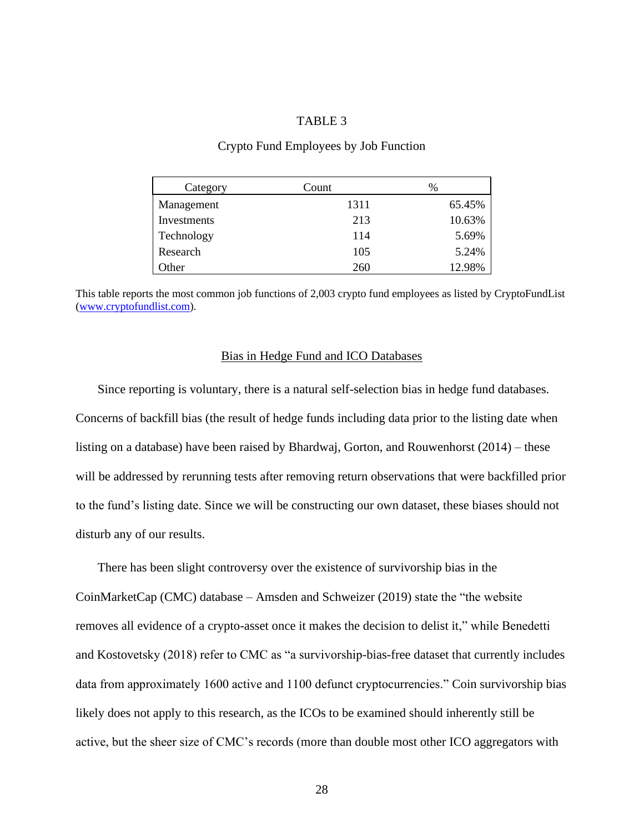#### TABLE 3

#### Crypto Fund Employees by Job Function

<span id="page-35-1"></span>

| Category    | Count | %      |
|-------------|-------|--------|
| Management  | 1311  | 65.45% |
| Investments | 213   | 10.63% |
| Technology  | 114   | 5.69%  |
| Research    | 105   | 5.24%  |
| Other       | 260   | 12.98% |

This table reports the most common job functions of 2,003 crypto fund employees as listed by CryptoFundList [\(www.cryptofundlist.com\)](http://www.cryptofundlist.com/).

#### Bias in Hedge Fund and ICO Databases

<span id="page-35-0"></span>Since reporting is voluntary, there is a natural self-selection bias in hedge fund databases. Concerns of backfill bias (the result of hedge funds including data prior to the listing date when listing on a database) have been raised by Bhardwaj, Gorton, and Rouwenhorst (2014) – these will be addressed by rerunning tests after removing return observations that were backfilled prior to the fund's listing date. Since we will be constructing our own dataset, these biases should not disturb any of our results.

There has been slight controversy over the existence of survivorship bias in the CoinMarketCap (CMC) database – Amsden and Schweizer (2019) state the "the website removes all evidence of a crypto-asset once it makes the decision to delist it," while Benedetti and Kostovetsky (2018) refer to CMC as "a survivorship-bias-free dataset that currently includes data from approximately 1600 active and 1100 defunct cryptocurrencies." Coin survivorship bias likely does not apply to this research, as the ICOs to be examined should inherently still be active, but the sheer size of CMC's records (more than double most other ICO aggregators with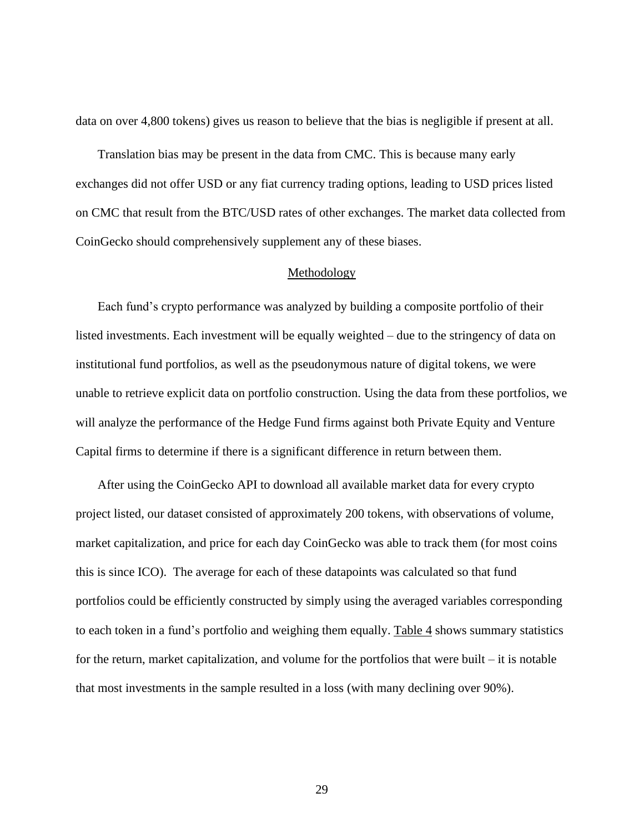data on over 4,800 tokens) gives us reason to believe that the bias is negligible if present at all.

Translation bias may be present in the data from CMC. This is because many early exchanges did not offer USD or any fiat currency trading options, leading to USD prices listed on CMC that result from the BTC/USD rates of other exchanges. The market data collected from CoinGecko should comprehensively supplement any of these biases.

#### Methodology

<span id="page-36-0"></span>Each fund's crypto performance was analyzed by building a composite portfolio of their listed investments. Each investment will be equally weighted – due to the stringency of data on institutional fund portfolios, as well as the pseudonymous nature of digital tokens, we were unable to retrieve explicit data on portfolio construction. Using the data from these portfolios, we will analyze the performance of the Hedge Fund firms against both Private Equity and Venture Capital firms to determine if there is a significant difference in return between them.

After using the CoinGecko API to download all available market data for every crypto project listed, our dataset consisted of approximately 200 tokens, with observations of volume, market capitalization, and price for each day CoinGecko was able to track them (for most coins this is since ICO). The average for each of these datapoints was calculated so that fund portfolios could be efficiently constructed by simply using the averaged variables corresponding to each token in a fund's portfolio and weighing them equally. Table  $\frac{4}{3}$  shows summary statistics for the return, market capitalization, and volume for the portfolios that were built – it is notable that most investments in the sample resulted in a loss (with many declining over 90%).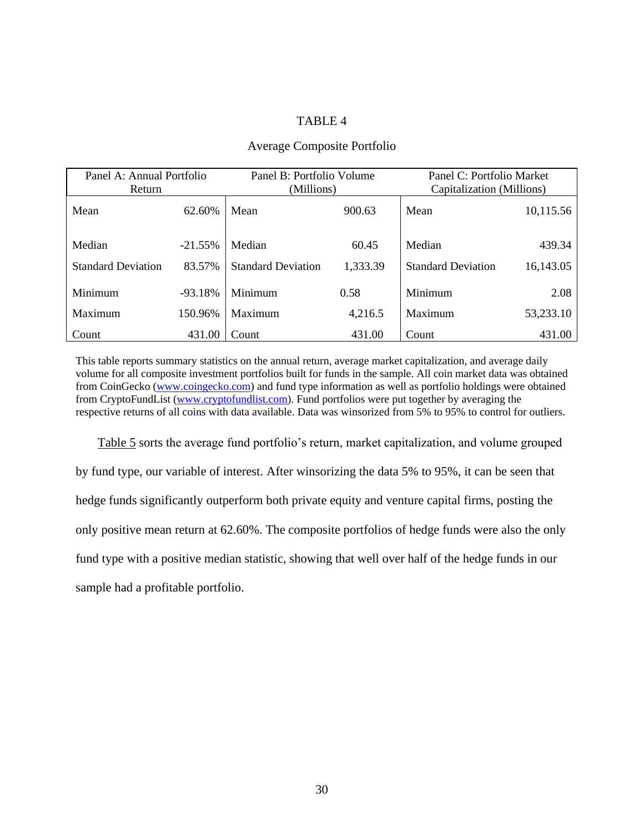#### TABLE 4

#### Average Composite Portfolio

<span id="page-37-0"></span>

| Panel A: Annual Portfolio<br>Return |           | Panel B: Portfolio Volume<br>(Millions) |          | Panel C: Portfolio Market<br>Capitalization (Millions) |           |
|-------------------------------------|-----------|-----------------------------------------|----------|--------------------------------------------------------|-----------|
| Mean                                | 62.60%    | Mean                                    | 900.63   | Mean                                                   | 10,115.56 |
| Median                              | $-21.55%$ | Median                                  | 60.45    | Median                                                 | 439.34    |
| <b>Standard Deviation</b>           | 83.57%    | <b>Standard Deviation</b>               | 1,333.39 | <b>Standard Deviation</b>                              | 16,143.05 |
| Minimum                             | $-93.18%$ | Minimum                                 | 0.58     | Minimum                                                | 2.08      |
| Maximum                             | 150.96%   | Maximum                                 | 4,216.5  | Maximum                                                | 53,233.10 |
| Count                               | 431.00    | Count                                   | 431.00   | Count                                                  | 431.00    |

This table reports summary statistics on the annual return, average market capitalization, and average daily volume for all composite investment portfolios built for funds in the sample. All coin market data was obtained from CoinGecko [\(www.coingecko.com\)](http://www.coingecko.com/) and fund type information as well as portfolio holdings were obtained from CryptoFundList [\(www.cryptofundlist.com\)](http://www.cryptofundlist.com/). Fund portfolios were put together by averaging the respective returns of all coins with data available. Data was winsorized from 5% to 95% to control for outliers.

Table 5 sorts the average fund portfolio's return, market capitalization, and volume grouped by fund type, our variable of interest. After winsorizing the data 5% to 95%, it can be seen that hedge funds significantly outperform both private equity and venture capital firms, posting the only positive mean return at 62.60%. The composite portfolios of hedge funds were also the only fund type with a positive median statistic, showing that well over half of the hedge funds in our sample had a profitable portfolio.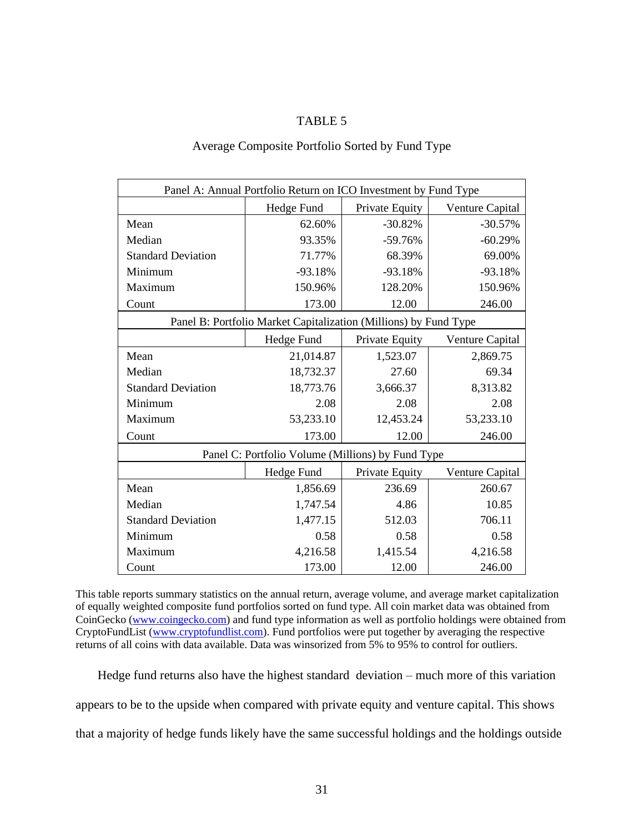#### TABLE 5

| Average Composite Portfolio Sorted by Fund Type |  |  |  |  |
|-------------------------------------------------|--|--|--|--|
|-------------------------------------------------|--|--|--|--|

<span id="page-38-0"></span>

| Panel A: Annual Portfolio Return on ICO Investment by Fund Type |                                                                  |                |                 |  |  |
|-----------------------------------------------------------------|------------------------------------------------------------------|----------------|-----------------|--|--|
|                                                                 | Hedge Fund                                                       | Private Equity | Venture Capital |  |  |
| Mean                                                            | 62.60%                                                           | $-30.82%$      | $-30.57%$       |  |  |
| Median                                                          | 93.35%                                                           | $-59.76%$      | $-60.29%$       |  |  |
| <b>Standard Deviation</b>                                       | 71.77%                                                           | 68.39%         | 69.00%          |  |  |
| Minimum                                                         | $-93.18%$                                                        | $-93.18%$      | $-93.18%$       |  |  |
| Maximum                                                         | 150.96%                                                          | 128.20%        | 150.96%         |  |  |
| Count                                                           | 173.00                                                           | 12.00          | 246.00          |  |  |
|                                                                 | Panel B: Portfolio Market Capitalization (Millions) by Fund Type |                |                 |  |  |
|                                                                 | Hedge Fund                                                       | Private Equity | Venture Capital |  |  |
| Mean                                                            | 21,014.87                                                        | 1,523.07       | 2,869.75        |  |  |
| Median                                                          | 18,732.37                                                        | 27.60          | 69.34           |  |  |
| <b>Standard Deviation</b>                                       | 18,773.76                                                        | 3,666.37       | 8,313.82        |  |  |
| Minimum                                                         | 2.08                                                             | 2.08           | 2.08            |  |  |
| Maximum                                                         | 53,233.10                                                        | 12,453.24      | 53,233.10       |  |  |
| Count                                                           | 173.00                                                           | 12.00          | 246.00          |  |  |
|                                                                 | Panel C: Portfolio Volume (Millions) by Fund Type                |                |                 |  |  |
|                                                                 | Hedge Fund                                                       | Private Equity | Venture Capital |  |  |
| Mean                                                            | 1,856.69                                                         | 236.69         | 260.67          |  |  |
| Median                                                          | 1,747.54                                                         | 4.86           | 10.85           |  |  |
| <b>Standard Deviation</b>                                       | 1,477.15                                                         | 512.03         | 706.11          |  |  |
| Minimum                                                         | 0.58                                                             | 0.58           | 0.58            |  |  |
| Maximum                                                         | 4,216.58                                                         | 1,415.54       | 4,216.58        |  |  |
| Count                                                           | 173.00                                                           | 12.00          | 246.00          |  |  |

This table reports summary statistics on the annual return, average volume, and average market capitalization of equally weighted composite fund portfolios sorted on fund type. All coin market data was obtained from CoinGecko [\(www.coingecko.com\)](http://www.coingecko.com/) and fund type information as well as portfolio holdings were obtained from CryptoFundList [\(www.cryptofundlist.com\)](http://www.cryptofundlist.com/). Fund portfolios were put together by averaging the respective returns of all coins with data available. Data was winsorized from 5% to 95% to control for outliers.

Hedge fund returns also have the highest standard deviation – much more of this variation appears to be to the upside when compared with private equity and venture capital. This shows that a majority of hedge funds likely have the same successful holdings and the holdings outside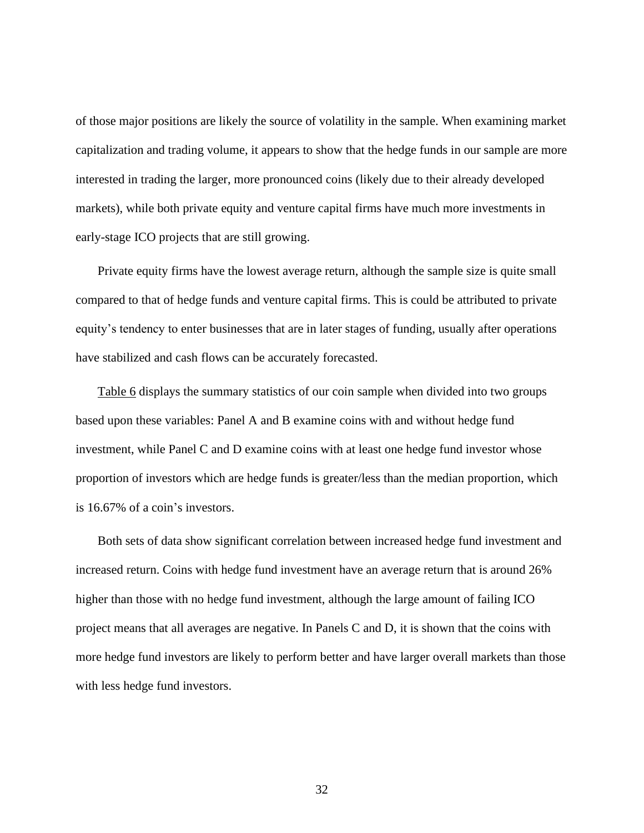of those major positions are likely the source of volatility in the sample. When examining market capitalization and trading volume, it appears to show that the hedge funds in our sample are more interested in trading the larger, more pronounced coins (likely due to their already developed markets), while both private equity and venture capital firms have much more investments in early-stage ICO projects that are still growing.

Private equity firms have the lowest average return, although the sample size is quite small compared to that of hedge funds and venture capital firms. This is could be attributed to private equity's tendency to enter businesses that are in later stages of funding, usually after operations have stabilized and cash flows can be accurately forecasted.

Table 6 displays the summary statistics of our coin sample when divided into two groups based upon these variables: Panel A and B examine coins with and without hedge fund investment, while Panel C and D examine coins with at least one hedge fund investor whose proportion of investors which are hedge funds is greater/less than the median proportion, which is 16.67% of a coin's investors.

Both sets of data show significant correlation between increased hedge fund investment and increased return. Coins with hedge fund investment have an average return that is around 26% higher than those with no hedge fund investment, although the large amount of failing ICO project means that all averages are negative. In Panels C and D, it is shown that the coins with more hedge fund investors are likely to perform better and have larger overall markets than those with less hedge fund investors.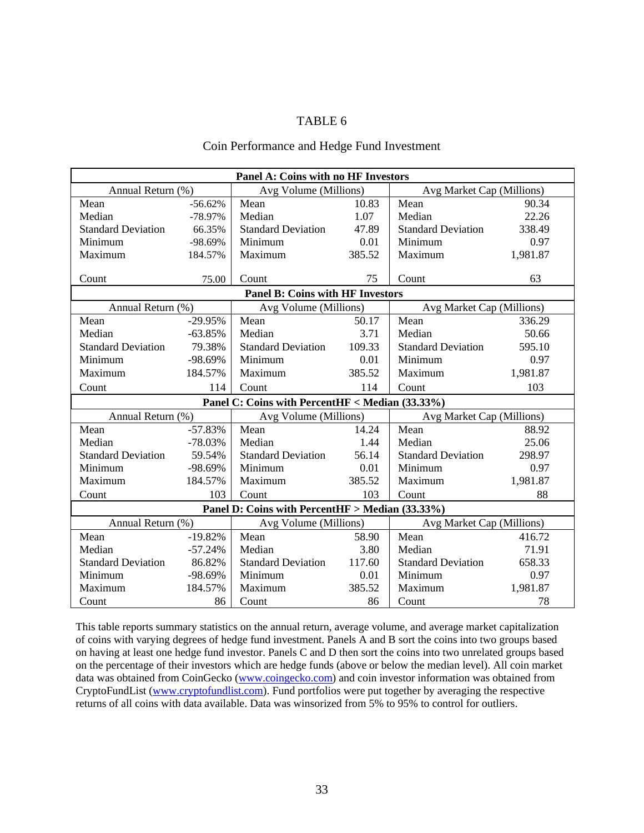#### TABLE 6

#### Coin Performance and Hedge Fund Investment

<span id="page-40-0"></span>

| Panel A: Coins with no HF Investors             |           |                                                 |        |                           |          |
|-------------------------------------------------|-----------|-------------------------------------------------|--------|---------------------------|----------|
| Annual Return (%)                               |           | Avg Volume (Millions)                           |        | Avg Market Cap (Millions) |          |
| Mean                                            | $-56.62%$ | Mean                                            | 10.83  | Mean                      | 90.34    |
| Median                                          | -78.97%   | Median                                          | 1.07   | Median                    | 22.26    |
| <b>Standard Deviation</b>                       | 66.35%    | <b>Standard Deviation</b>                       | 47.89  | <b>Standard Deviation</b> | 338.49   |
| Minimum                                         | -98.69%   | Minimum                                         | 0.01   | Minimum                   | 0.97     |
| Maximum                                         | 184.57%   | Maximum                                         | 385.52 | Maximum                   | 1,981.87 |
|                                                 |           |                                                 |        |                           |          |
| Count                                           | 75.00     | Count                                           | 75     | Count                     | 63       |
|                                                 |           | <b>Panel B: Coins with HF Investors</b>         |        |                           |          |
| Annual Return (%)                               |           | Avg Volume (Millions)                           |        | Avg Market Cap (Millions) |          |
| Mean                                            | $-29.95%$ | Mean                                            | 50.17  | Mean                      | 336.29   |
| Median                                          | $-63.85%$ | Median                                          | 3.71   | Median                    | 50.66    |
| <b>Standard Deviation</b>                       | 79.38%    | Standard Deviation 109.33                       |        | <b>Standard Deviation</b> | 595.10   |
| Minimum                                         | -98.69%   | Minimum                                         | 0.01   | Minimum                   | 0.97     |
| Maximum                                         | 184.57%   | Maximum                                         | 385.52 | Maximum                   | 1,981.87 |
| Count                                           | 114       | Count                                           | 114    | Count                     | 103      |
| Panel C: Coins with PercentHF < Median (33.33%) |           |                                                 |        |                           |          |
| Annual Return (%)                               |           | Avg Volume (Millions)                           |        | Avg Market Cap (Millions) |          |
| Mean                                            | $-57.83%$ | Mean                                            | 14.24  | Mean                      | 88.92    |
| Median                                          | $-78.03%$ | Median                                          | 1.44   | Median                    | 25.06    |
| <b>Standard Deviation</b>                       | 59.54%    | <b>Standard Deviation</b>                       | 56.14  | <b>Standard Deviation</b> | 298.97   |
| Minimum                                         | -98.69%   | Minimum                                         | 0.01   | Minimum                   | 0.97     |
| Maximum                                         | 184.57%   | Maximum                                         | 385.52 | Maximum                   | 1,981.87 |
| Count                                           | 103       | Count                                           | 103    | Count                     | 88       |
|                                                 |           | Panel D: Coins with PercentHF > Median (33.33%) |        |                           |          |
| Annual Return (%)                               |           | Avg Volume (Millions)                           |        | Avg Market Cap (Millions) |          |
| Mean                                            | $-19.82%$ | Mean                                            | 58.90  | Mean                      | 416.72   |
| Median                                          | $-57.24%$ | Median                                          | 3.80   | Median                    | 71.91    |
| <b>Standard Deviation</b>                       | 86.82%    | <b>Standard Deviation</b>                       | 117.60 | <b>Standard Deviation</b> | 658.33   |
| Minimum                                         | -98.69%   | Minimum                                         | 0.01   | Minimum                   | 0.97     |
| Maximum                                         | 184.57%   | Maximum                                         | 385.52 | Maximum                   | 1,981.87 |
| Count                                           | 86        | Count                                           | 86     | Count                     | 78       |

This table reports summary statistics on the annual return, average volume, and average market capitalization of coins with varying degrees of hedge fund investment. Panels A and B sort the coins into two groups based on having at least one hedge fund investor. Panels C and D then sort the coins into two unrelated groups based on the percentage of their investors which are hedge funds (above or below the median level). All coin market data was obtained from CoinGecko [\(www.coingecko.com\)](http://www.coingecko.com/) and coin investor information was obtained from CryptoFundList [\(www.cryptofundlist.com\)](http://www.cryptofundlist.com/). Fund portfolios were put together by averaging the respective returns of all coins with data available. Data was winsorized from 5% to 95% to control for outliers.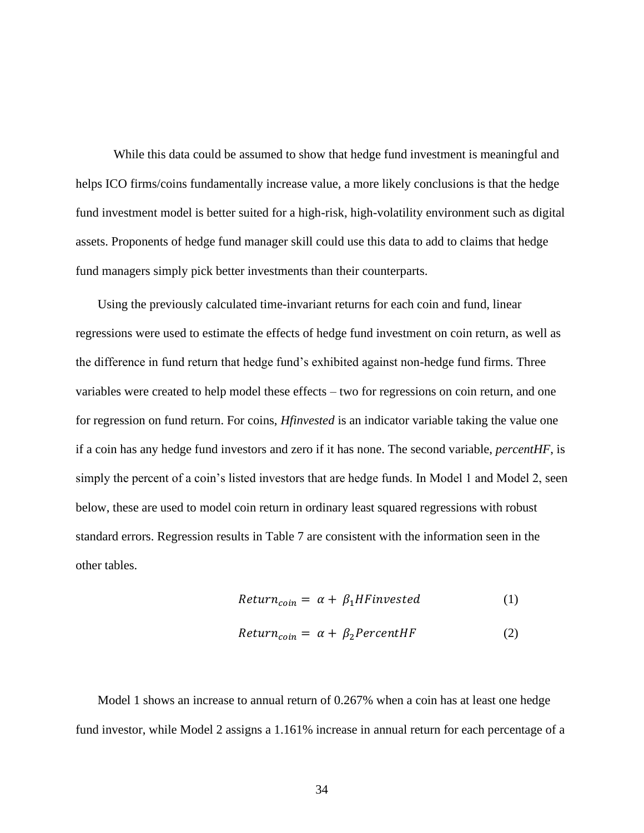While this data could be assumed to show that hedge fund investment is meaningful and helps ICO firms/coins fundamentally increase value, a more likely conclusions is that the hedge fund investment model is better suited for a high-risk, high-volatility environment such as digital assets. Proponents of hedge fund manager skill could use this data to add to claims that hedge fund managers simply pick better investments than their counterparts.

Using the previously calculated time-invariant returns for each coin and fund, linear regressions were used to estimate the effects of hedge fund investment on coin return, as well as the difference in fund return that hedge fund's exhibited against non-hedge fund firms. Three variables were created to help model these effects – two for regressions on coin return, and one for regression on fund return. For coins, *Hfinvested* is an indicator variable taking the value one if a coin has any hedge fund investors and zero if it has none. The second variable, *percentHF*, is simply the percent of a coin's listed investors that are hedge funds. In Model 1 and Model 2, seen below, these are used to model coin return in ordinary least squared regressions with robust standard errors. Regression results in Table 7 are consistent with the information seen in the other tables.

$$
Return_{coin} = \alpha + \beta_1 HF invested
$$
 (1)

$$
Return_{coin} = \alpha + \beta_2 PercentHF
$$
 (2)

Model 1 shows an increase to annual return of 0.267% when a coin has at least one hedge fund investor, while Model 2 assigns a 1.161% increase in annual return for each percentage of a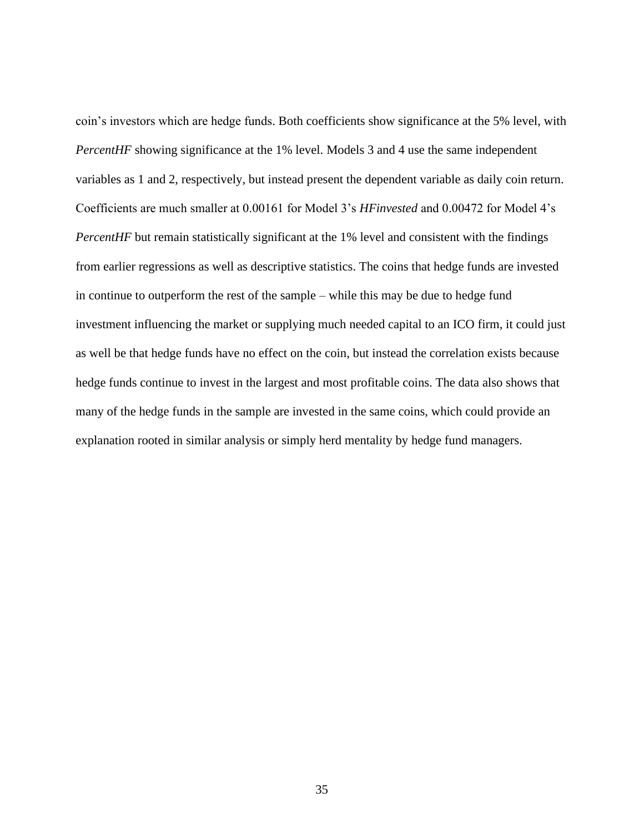coin's investors which are hedge funds. Both coefficients show significance at the 5% level, with *PercentHF* showing significance at the 1% level. Models 3 and 4 use the same independent variables as 1 and 2, respectively, but instead present the dependent variable as daily coin return. Coefficients are much smaller at 0.00161 for Model 3's *HFinvested* and 0.00472 for Model 4's *PercentHF* but remain statistically significant at the 1% level and consistent with the findings from earlier regressions as well as descriptive statistics. The coins that hedge funds are invested in continue to outperform the rest of the sample – while this may be due to hedge fund investment influencing the market or supplying much needed capital to an ICO firm, it could just as well be that hedge funds have no effect on the coin, but instead the correlation exists because hedge funds continue to invest in the largest and most profitable coins. The data also shows that many of the hedge funds in the sample are invested in the same coins, which could provide an explanation rooted in similar analysis or simply herd mentality by hedge fund managers.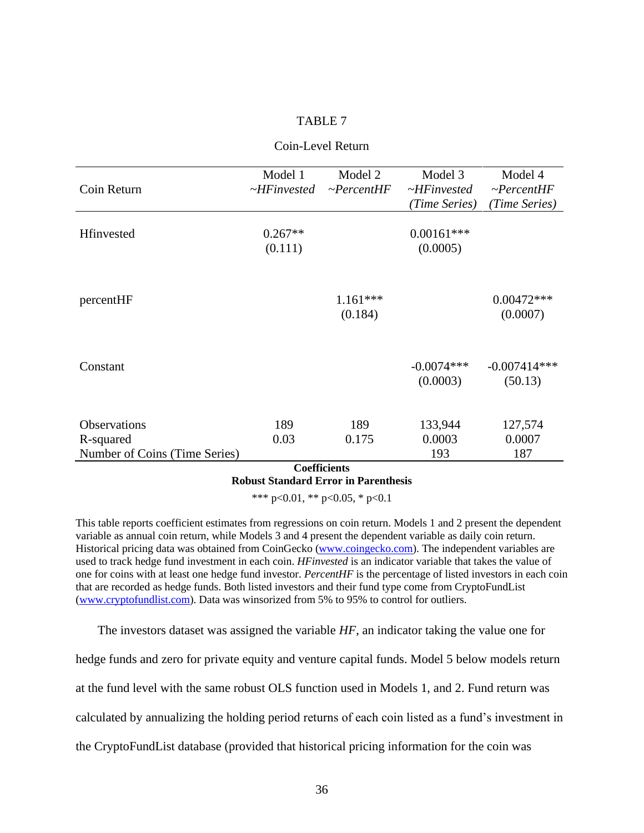#### TABLE 7

<span id="page-43-0"></span>

|                               | Model 1           | Model 2                                                                      | Model 3           | Model 4          |
|-------------------------------|-------------------|------------------------------------------------------------------------------|-------------------|------------------|
| Coin Return                   | $\sim$ HFinvested | $\sim$ PercentHF                                                             | $\sim$ HFinvested | $\neg PercentHF$ |
|                               |                   |                                                                              | (Time Series)     | (Time Series)    |
|                               |                   |                                                                              |                   |                  |
| Hfinvested                    | $0.267**$         |                                                                              | $0.00161***$      |                  |
|                               | (0.111)           |                                                                              | (0.0005)          |                  |
|                               |                   |                                                                              |                   |                  |
|                               |                   |                                                                              |                   |                  |
|                               |                   |                                                                              |                   |                  |
| percentHF                     |                   | $1.161***$                                                                   |                   | $0.00472***$     |
|                               |                   | (0.184)                                                                      |                   | (0.0007)         |
|                               |                   |                                                                              |                   |                  |
|                               |                   |                                                                              |                   |                  |
|                               |                   |                                                                              |                   |                  |
| Constant                      |                   |                                                                              | $-0.0074***$      | $-0.007414***$   |
|                               |                   |                                                                              | (0.0003)          | (50.13)          |
|                               |                   |                                                                              |                   |                  |
|                               |                   |                                                                              |                   |                  |
| Observations                  | 189               | 189                                                                          | 133,944           | 127,574          |
| R-squared                     | 0.03              | 0.175                                                                        | 0.0003            | 0.0007           |
| Number of Coins (Time Series) |                   |                                                                              | 193               | 187              |
|                               |                   | $\mathcal{C}_{\alpha\alpha}$ $\mathbf{e}_{\mathbf{e}}$ $\mathbf{e}_{\alpha}$ |                   |                  |

#### Coin-Level Return

**Coefficients Robust Standard Error in Parenthesis**

\*\*\* p<0.01, \*\* p<0.05, \* p<0.1

This table reports coefficient estimates from regressions on coin return. Models 1 and 2 present the dependent variable as annual coin return, while Models 3 and 4 present the dependent variable as daily coin return. Historical pricing data was obtained from CoinGecko [\(www.coingecko.com\)](http://www.coingecko.com/). The independent variables are used to track hedge fund investment in each coin. *HFinvested* is an indicator variable that takes the value of one for coins with at least one hedge fund investor. *PercentHF* is the percentage of listed investors in each coin that are recorded as hedge funds. Both listed investors and their fund type come from CryptoFundList [\(www.cryptofundlist.com\)](http://www.cryptofundlist.com/). Data was winsorized from 5% to 95% to control for outliers.

The investors dataset was assigned the variable *HF*, an indicator taking the value one for hedge funds and zero for private equity and venture capital funds. Model 5 below models return at the fund level with the same robust OLS function used in Models 1, and 2. Fund return was calculated by annualizing the holding period returns of each coin listed as a fund's investment in the CryptoFundList database (provided that historical pricing information for the coin was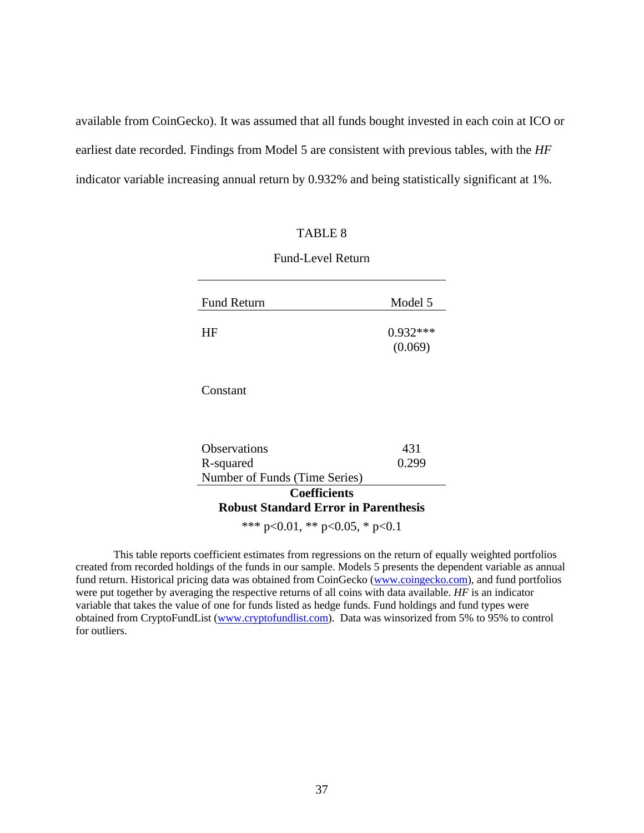<span id="page-44-0"></span>available from CoinGecko). It was assumed that all funds bought invested in each coin at ICO or earliest date recorded. Findings from Model 5 are consistent with previous tables, with the *HF* indicator variable increasing annual return by 0.932% and being statistically significant at 1%.

#### TABLE 8

| <b>Fund Return</b> | Model 5               |
|--------------------|-----------------------|
| HF                 | $0.932***$<br>(0.069) |

#### Fund-Level Return

Constant

| <b>Observations</b>                         | 431   |
|---------------------------------------------|-------|
| R-squared                                   | 0.299 |
| Number of Funds (Time Series)               |       |
| <b>Coefficients</b>                         |       |
| <b>Robust Standard Error in Parenthesis</b> |       |
| *** $p<0.01$ , ** $p<0.05$ , * $p<0.1$      |       |

This table reports coefficient estimates from regressions on the return of equally weighted portfolios created from recorded holdings of the funds in our sample. Models 5 presents the dependent variable as annual fund return. Historical pricing data was obtained from CoinGecko [\(www.coingecko.com\)](http://www.coingecko.com/), and fund portfolios were put together by averaging the respective returns of all coins with data available. *HF* is an indicator variable that takes the value of one for funds listed as hedge funds. Fund holdings and fund types were obtained from CryptoFundList [\(www.cryptofundlist.com\)](http://www.cryptofundlist.com/). Data was winsorized from 5% to 95% to control for outliers.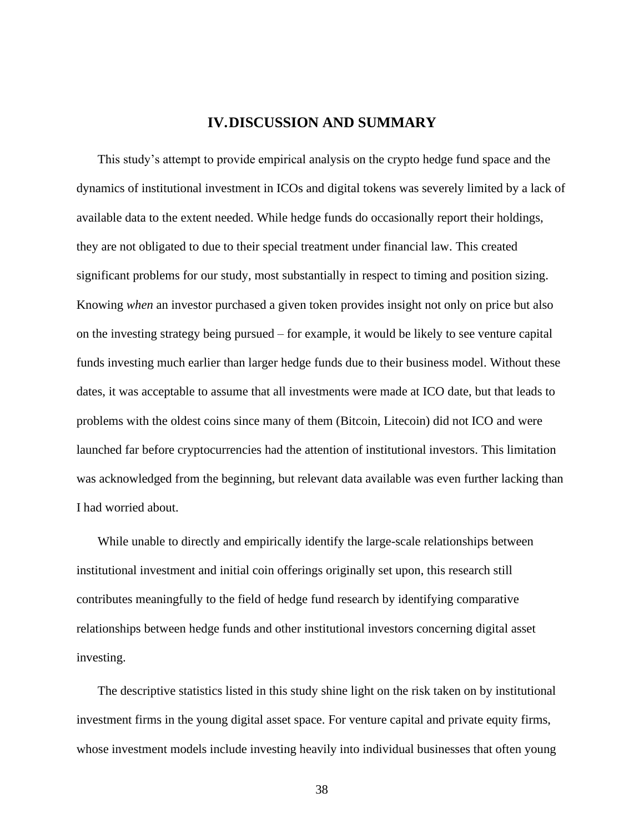#### **IV.DISCUSSION AND SUMMARY**

<span id="page-45-0"></span>This study's attempt to provide empirical analysis on the crypto hedge fund space and the dynamics of institutional investment in ICOs and digital tokens was severely limited by a lack of available data to the extent needed. While hedge funds do occasionally report their holdings, they are not obligated to due to their special treatment under financial law. This created significant problems for our study, most substantially in respect to timing and position sizing. Knowing *when* an investor purchased a given token provides insight not only on price but also on the investing strategy being pursued – for example, it would be likely to see venture capital funds investing much earlier than larger hedge funds due to their business model. Without these dates, it was acceptable to assume that all investments were made at ICO date, but that leads to problems with the oldest coins since many of them (Bitcoin, Litecoin) did not ICO and were launched far before cryptocurrencies had the attention of institutional investors. This limitation was acknowledged from the beginning, but relevant data available was even further lacking than I had worried about.

While unable to directly and empirically identify the large-scale relationships between institutional investment and initial coin offerings originally set upon, this research still contributes meaningfully to the field of hedge fund research by identifying comparative relationships between hedge funds and other institutional investors concerning digital asset investing.

The descriptive statistics listed in this study shine light on the risk taken on by institutional investment firms in the young digital asset space. For venture capital and private equity firms, whose investment models include investing heavily into individual businesses that often young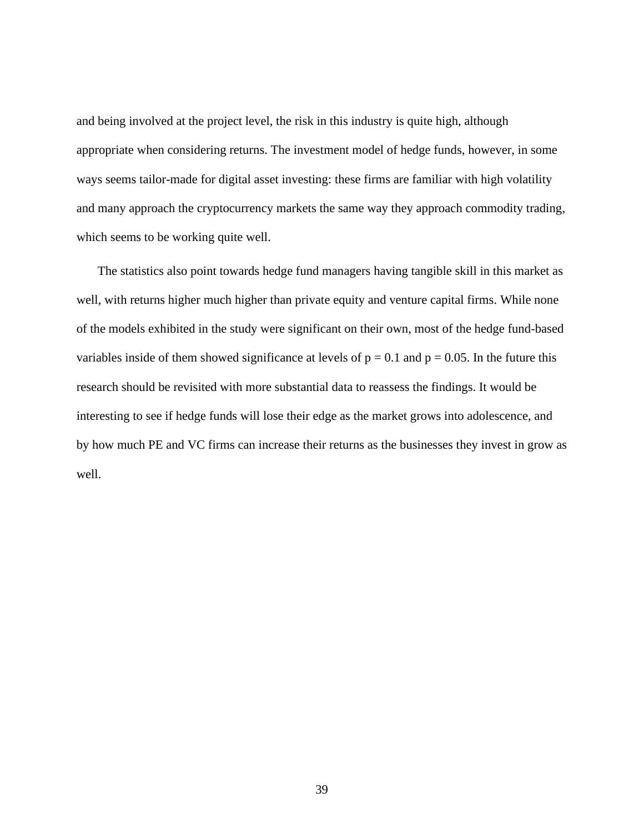and being involved at the project level, the risk in this industry is quite high, although appropriate when considering returns. The investment model of hedge funds, however, in some ways seems tailor-made for digital asset investing: these firms are familiar with high volatility and many approach the cryptocurrency markets the same way they approach commodity trading, which seems to be working quite well.

The statistics also point towards hedge fund managers having tangible skill in this market as well, with returns higher much higher than private equity and venture capital firms. While none of the models exhibited in the study were significant on their own, most of the hedge fund-based variables inside of them showed significance at levels of  $p = 0.1$  and  $p = 0.05$ . In the future this research should be revisited with more substantial data to reassess the findings. It would be interesting to see if hedge funds will lose their edge as the market grows into adolescence, and by how much PE and VC firms can increase their returns as the businesses they invest in grow as well.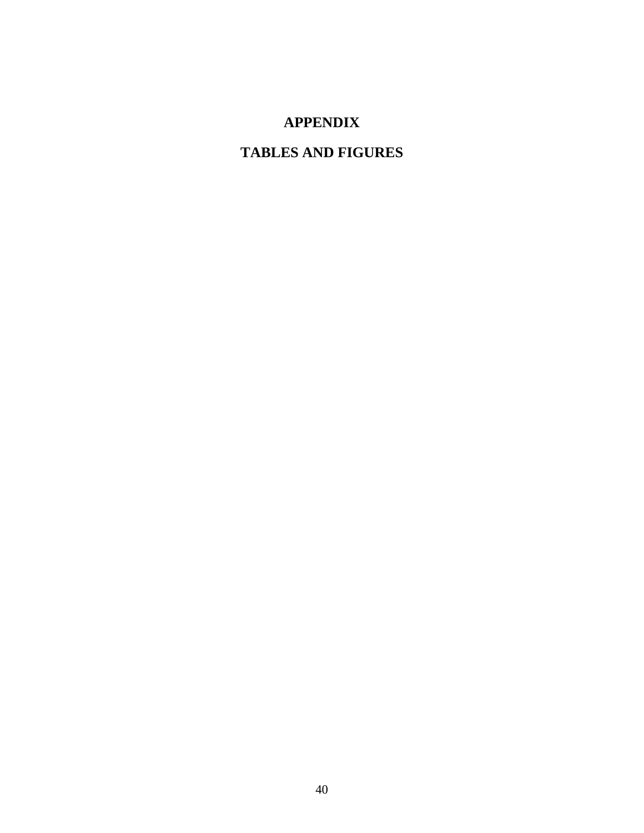# **APPENDIX**

# <span id="page-47-0"></span>**TABLES AND FIGURES**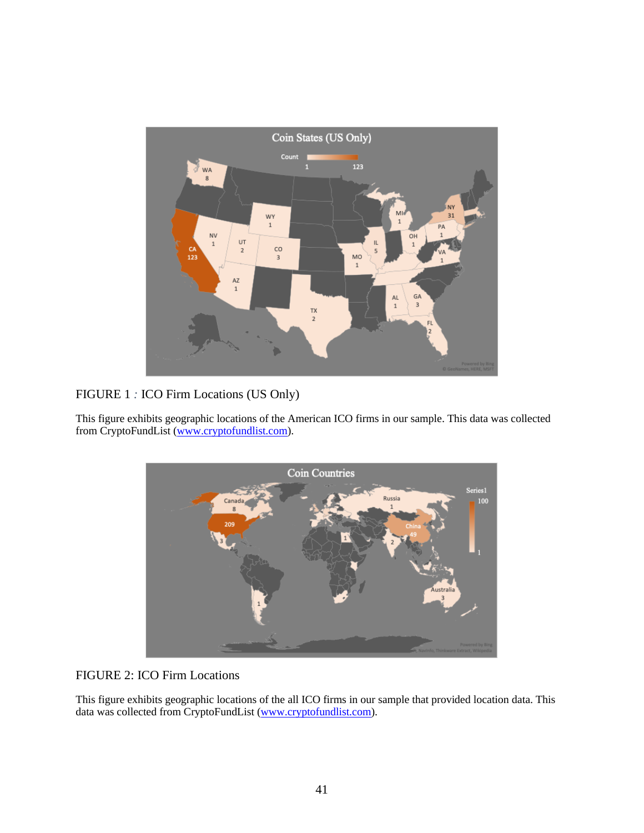

#### <span id="page-48-0"></span>FIGURE 1 *:* ICO Firm Locations (US Only)

This figure exhibits geographic locations of the American ICO firms in our sample. This data was collected from CryptoFundList [\(www.cryptofundlist.com\)](http://www.cryptofundlist.com/).



#### <span id="page-48-1"></span>FIGURE 2: ICO Firm Locations

This figure exhibits geographic locations of the all ICO firms in our sample that provided location data. This data was collected from CryptoFundList [\(www.cryptofundlist.com\)](http://www.cryptofundlist.com/).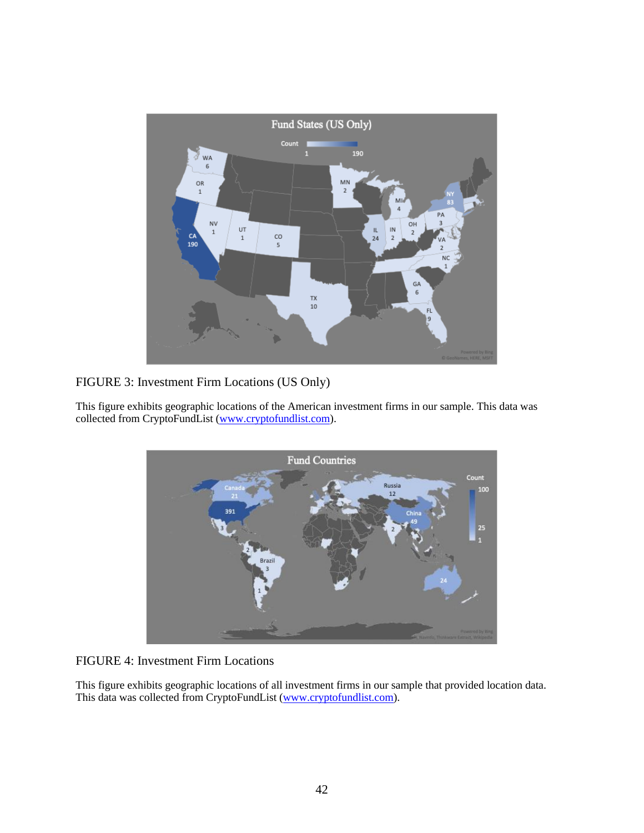

<span id="page-49-0"></span>FIGURE 3: Investment Firm Locations (US Only)

This figure exhibits geographic locations of the American investment firms in our sample. This data was collected from CryptoFundList [\(www.cryptofundlist.com\)](http://www.cryptofundlist.com/).



#### <span id="page-49-1"></span>FIGURE 4: Investment Firm Locations

This figure exhibits geographic locations of all investment firms in our sample that provided location data. This data was collected from CryptoFundList [\(www.cryptofundlist.com\)](http://www.cryptofundlist.com/).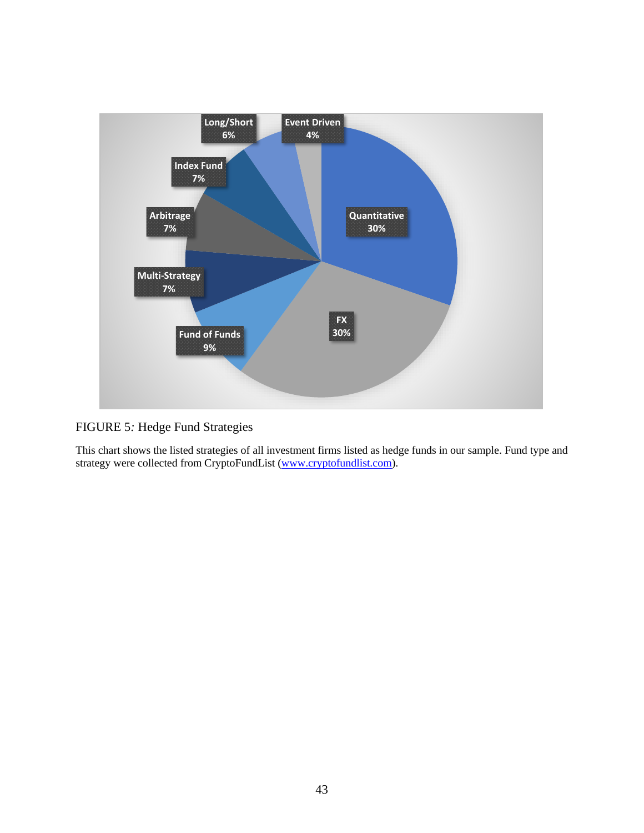

<span id="page-50-0"></span>FIGURE 5*:* Hedge Fund Strategies

This chart shows the listed strategies of all investment firms listed as hedge funds in our sample. Fund type and strategy were collected from CryptoFundList [\(www.cryptofundlist.com\)](http://www.cryptofundlist.com/).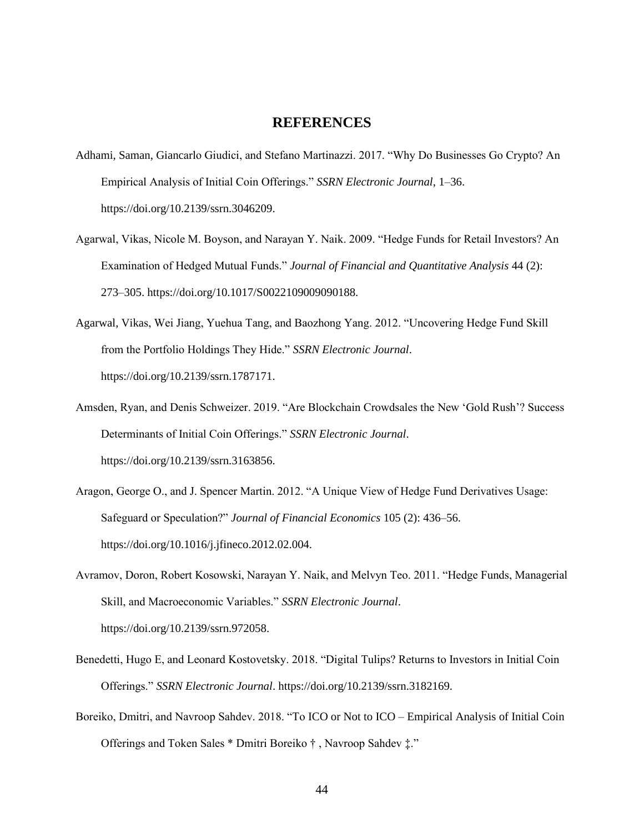#### **REFERENCES**

- <span id="page-51-0"></span>Adhami, Saman, Giancarlo Giudici, and Stefano Martinazzi. 2017. "Why Do Businesses Go Crypto? An Empirical Analysis of Initial Coin Offerings." *SSRN Electronic Journal*, 1–36. https://doi.org/10.2139/ssrn.3046209.
- Agarwal, Vikas, Nicole M. Boyson, and Narayan Y. Naik. 2009. "Hedge Funds for Retail Investors? An Examination of Hedged Mutual Funds." *Journal of Financial and Quantitative Analysis* 44 (2): 273–305. https://doi.org/10.1017/S0022109009090188.
- Agarwal, Vikas, Wei Jiang, Yuehua Tang, and Baozhong Yang. 2012. "Uncovering Hedge Fund Skill from the Portfolio Holdings They Hide." *SSRN Electronic Journal*. https://doi.org/10.2139/ssrn.1787171.
- Amsden, Ryan, and Denis Schweizer. 2019. "Are Blockchain Crowdsales the New 'Gold Rush'? Success Determinants of Initial Coin Offerings." *SSRN Electronic Journal*. https://doi.org/10.2139/ssrn.3163856.
- Aragon, George O., and J. Spencer Martin. 2012. "A Unique View of Hedge Fund Derivatives Usage: Safeguard or Speculation?" *Journal of Financial Economics* 105 (2): 436–56. https://doi.org/10.1016/j.jfineco.2012.02.004.
- Avramov, Doron, Robert Kosowski, Narayan Y. Naik, and Melvyn Teo. 2011. "Hedge Funds, Managerial Skill, and Macroeconomic Variables." *SSRN Electronic Journal*. https://doi.org/10.2139/ssrn.972058.
- Benedetti, Hugo E, and Leonard Kostovetsky. 2018. "Digital Tulips? Returns to Investors in Initial Coin Offerings." *SSRN Electronic Journal*. https://doi.org/10.2139/ssrn.3182169.
- Boreiko, Dmitri, and Navroop Sahdev. 2018. "To ICO or Not to ICO Empirical Analysis of Initial Coin Offerings and Token Sales \* Dmitri Boreiko † , Navroop Sahdev ‡."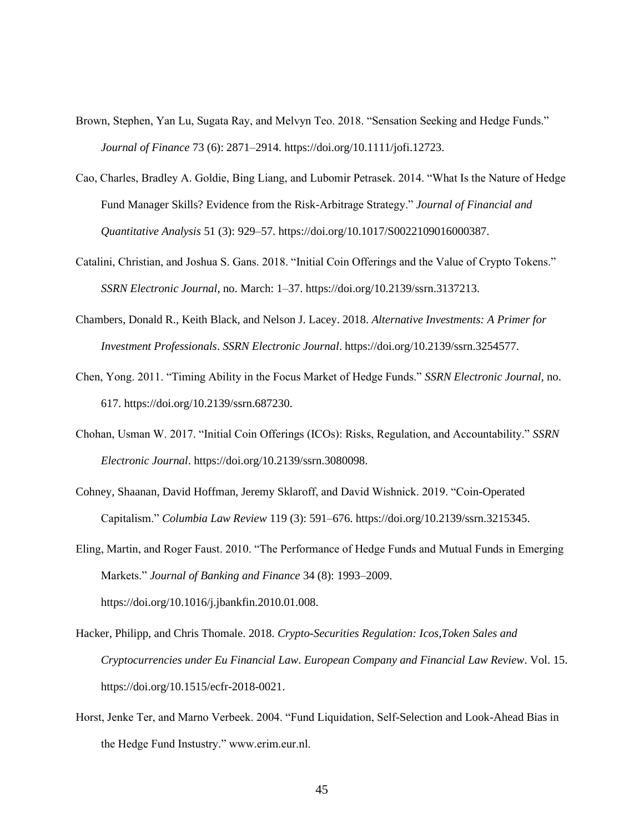- Brown, Stephen, Yan Lu, Sugata Ray, and Melvyn Teo. 2018. "Sensation Seeking and Hedge Funds." *Journal of Finance* 73 (6): 2871–2914. https://doi.org/10.1111/jofi.12723.
- Cao, Charles, Bradley A. Goldie, Bing Liang, and Lubomir Petrasek. 2014. "What Is the Nature of Hedge Fund Manager Skills? Evidence from the Risk-Arbitrage Strategy." *Journal of Financial and Quantitative Analysis* 51 (3): 929–57. https://doi.org/10.1017/S0022109016000387.
- Catalini, Christian, and Joshua S. Gans. 2018. "Initial Coin Offerings and the Value of Crypto Tokens." *SSRN Electronic Journal*, no. March: 1–37. https://doi.org/10.2139/ssrn.3137213.
- Chambers, Donald R., Keith Black, and Nelson J. Lacey. 2018. *Alternative Investments: A Primer for Investment Professionals*. *SSRN Electronic Journal*. https://doi.org/10.2139/ssrn.3254577.
- Chen, Yong. 2011. "Timing Ability in the Focus Market of Hedge Funds." *SSRN Electronic Journal*, no. 617. https://doi.org/10.2139/ssrn.687230.
- Chohan, Usman W. 2017. "Initial Coin Offerings (ICOs): Risks, Regulation, and Accountability." *SSRN Electronic Journal*. https://doi.org/10.2139/ssrn.3080098.
- Cohney, Shaanan, David Hoffman, Jeremy Sklaroff, and David Wishnick. 2019. "Coin-Operated Capitalism." *Columbia Law Review* 119 (3): 591–676. https://doi.org/10.2139/ssrn.3215345.
- Eling, Martin, and Roger Faust. 2010. "The Performance of Hedge Funds and Mutual Funds in Emerging Markets." *Journal of Banking and Finance* 34 (8): 1993–2009. https://doi.org/10.1016/j.jbankfin.2010.01.008.
- Hacker, Philipp, and Chris Thomale. 2018. *Crypto-Securities Regulation: Icos,Token Sales and Cryptocurrencies under Eu Financial Law*. *European Company and Financial Law Review*. Vol. 15. https://doi.org/10.1515/ecfr-2018-0021.
- Horst, Jenke Ter, and Marno Verbeek. 2004. "Fund Liquidation, Self-Selection and Look-Ahead Bias in the Hedge Fund Instustry." www.erim.eur.nl.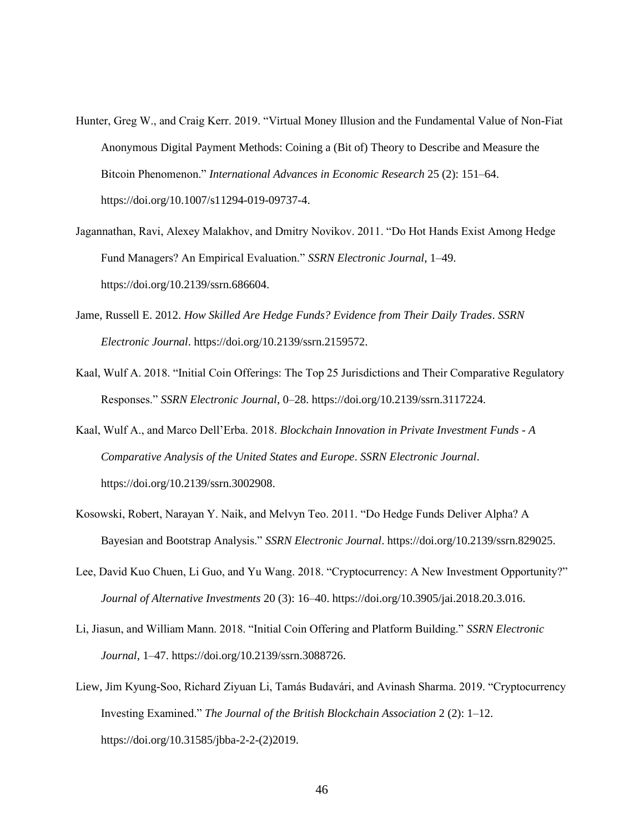- Hunter, Greg W., and Craig Kerr. 2019. "Virtual Money Illusion and the Fundamental Value of Non-Fiat Anonymous Digital Payment Methods: Coining a (Bit of) Theory to Describe and Measure the Bitcoin Phenomenon." *International Advances in Economic Research* 25 (2): 151–64. https://doi.org/10.1007/s11294-019-09737-4.
- Jagannathan, Ravi, Alexey Malakhov, and Dmitry Novikov. 2011. "Do Hot Hands Exist Among Hedge Fund Managers? An Empirical Evaluation." *SSRN Electronic Journal*, 1–49. https://doi.org/10.2139/ssrn.686604.
- Jame, Russell E. 2012. *How Skilled Are Hedge Funds? Evidence from Their Daily Trades*. *SSRN Electronic Journal*. https://doi.org/10.2139/ssrn.2159572.
- Kaal, Wulf A. 2018. "Initial Coin Offerings: The Top 25 Jurisdictions and Their Comparative Regulatory Responses." *SSRN Electronic Journal*, 0–28. https://doi.org/10.2139/ssrn.3117224.
- Kaal, Wulf A., and Marco Dell'Erba. 2018. *Blockchain Innovation in Private Investment Funds - A Comparative Analysis of the United States and Europe*. *SSRN Electronic Journal*. https://doi.org/10.2139/ssrn.3002908.
- Kosowski, Robert, Narayan Y. Naik, and Melvyn Teo. 2011. "Do Hedge Funds Deliver Alpha? A Bayesian and Bootstrap Analysis." *SSRN Electronic Journal*. https://doi.org/10.2139/ssrn.829025.
- Lee, David Kuo Chuen, Li Guo, and Yu Wang. 2018. "Cryptocurrency: A New Investment Opportunity?" *Journal of Alternative Investments* 20 (3): 16–40. https://doi.org/10.3905/jai.2018.20.3.016.
- Li, Jiasun, and William Mann. 2018. "Initial Coin Offering and Platform Building." *SSRN Electronic Journal*, 1–47. https://doi.org/10.2139/ssrn.3088726.
- Liew, Jim Kyung-Soo, Richard Ziyuan Li, Tamás Budavári, and Avinash Sharma. 2019. "Cryptocurrency Investing Examined." *The Journal of the British Blockchain Association* 2 (2): 1–12. https://doi.org/10.31585/jbba-2-2-(2)2019.